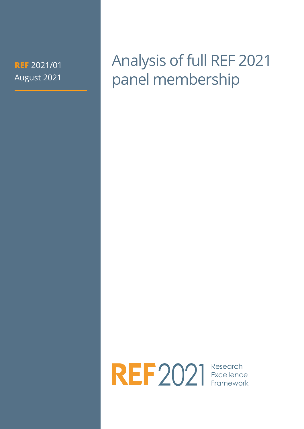**REF** 2021/01 August 2021 Analysis of full REF 2021 panel membership

REF2021 Excellence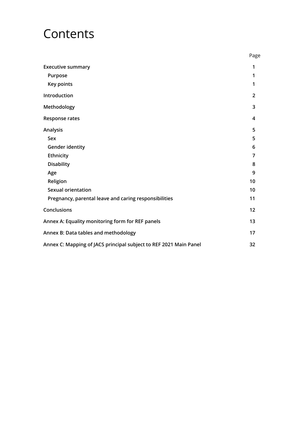## Contents

|                                                                   | Page           |
|-------------------------------------------------------------------|----------------|
| <b>Executive summary</b>                                          | 1              |
| Purpose                                                           | 1              |
| Key points                                                        | 1              |
| Introduction                                                      | $\overline{2}$ |
| Methodology                                                       | 3              |
| <b>Response rates</b>                                             | 4              |
| Analysis                                                          | 5              |
| Sex                                                               | 5              |
| <b>Gender identity</b>                                            | 6              |
| Ethnicity                                                         | 7              |
| <b>Disability</b>                                                 | 8              |
| Age                                                               | 9              |
| Religion                                                          | 10             |
| <b>Sexual orientation</b>                                         | 10             |
| Pregnancy, parental leave and caring responsibilities             | 11             |
| Conclusions                                                       | 12             |
| Annex A: Equality monitoring form for REF panels                  | 13             |
| Annex B: Data tables and methodology                              | 17             |
| Annex C: Mapping of JACS principal subject to REF 2021 Main Panel | 32             |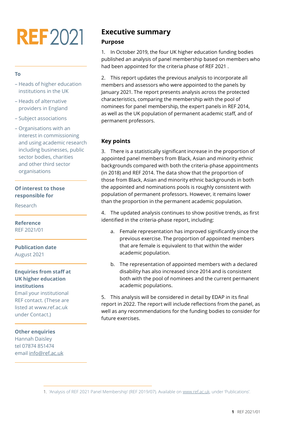# **REF2021**

#### **To**

- Heads of higher education institutions in the UK
- Heads of alternative providers in England
- Subject associations
- Organisations with an interest in commissioning and using academic research including businesses, public sector bodies, charities and other third sector organisations

#### **Of interest to those responsible for**

Research

#### **Reference** REF 2021/01

**Publication date** August 2021

#### **Enquiries from staff at UK higher education institutions**

Email your institutional REF contact. (These are listed at [www.ref.ac.uk](http://www.ref.ac.uk)  under Contact.)

#### **Other enquiries**

Hannah Daisley tel 07874 851474 email [info@ref.ac.uk](http://info@ref.ac.uk)

## **Executive summary Purpose**

1. In October 2019, the four UK higher education funding bodies published an analysis of panel membership based on members who had been appointed for the criteria phase of REF 2021 .

2. This report updates the previous analysis to incorporate all members and assessors who were appointed to the panels by January 2021. The report presents analysis across the protected characteristics, comparing the membership with the pool of nominees for panel membership, the expert panels in REF 2014, as well as the UK population of permanent academic staff, and of permanent professors.

#### **Key points**

3. There is a statistically significant increase in the proportion of appointed panel members from Black, Asian and minority ethnic backgrounds compared with both the criteria-phase appointments (in 2018) and REF 2014. The data show that the proportion of those from Black, Asian and minority ethnic backgrounds in both the appointed and nominations pools is roughly consistent with population of permanent professors. However, it remains lower than the proportion in the permanent academic population.

4. The updated analysis continues to show positive trends, as first identified in the criteria-phase report, including:

- a. Female representation has improved significantly since the previous exercise. The proportion of appointed members that are female is equivalent to that within the wider academic population.
- b. The representation of appointed members with a declared disability has also increased since 2014 and is consistent both with the pool of nominees and the current permanent academic populations.

5. This analysis will be considered in detail by EDAP in its final report in 2022. The report will include reflections from the panel, as well as any recommendations for the funding bodies to consider for future exercises.

<sup>1. &#</sup>x27;Analysis of REF 2021 Panel Membership' (REF 2019/07). Available on www.ref.ac.uk, under 'Publications'.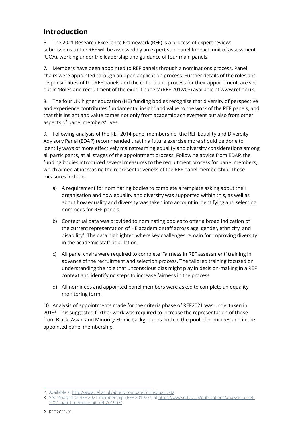## **Introduction**

6. The 2021 Research Excellence Framework (REF) is a process of expert review; submissions to the REF will be assessed by an expert sub-panel for each unit of assessment (UOA), working under the leadership and guidance of four main panels.

7. Members have been appointed to REF panels through a nominations process. Panel chairs were appointed through an open application process. Further details of the roles and responsibilities of the REF panels and the criteria and process for their appointment, are set out in 'Roles and recruitment of the expert panels' (REF 2017/03) available at www.ref.ac.uk.

8. The four UK higher education (HE) funding bodies recognise that diversity of perspective and experience contributes fundamental insight and value to the work of the REF panels, and that this insight and value comes not only from academic achievement but also from other aspects of panel members' lives.

9. Following analysis of the REF 2014 panel membership, the REF Equality and Diversity Advisory Panel (EDAP) recommended that in a future exercise more should be done to identify ways of more effectively mainstreaming equality and diversity considerations among all participants, at all stages of the appointment process. Following advice from EDAP, the funding bodies introduced several measures to the recruitment process for panel members, which aimed at increasing the representativeness of the REF panel membership. These measures include:

- a) A requirement for nominating bodies to complete a template asking about their organisation and how equality and diversity was supported within this, as well as about how equality and diversity was taken into account in identifying and selecting nominees for REF panels.
- b) Contextual data was provided to nominating bodies to offer a broad indication of the current representation of HE academic staff across age, gender, ethnicity, and disability<sup>2</sup>. The data highlighted where key challenges remain for improving diversity in the academic staff population.
- c) All panel chairs were required to complete 'Fairness in REF assessment' training in advance of the recruitment and selection process. The tailored training focused on understanding the role that unconscious bias might play in decision-making in a REF context and identifying steps to increase fairness in the process.
- d) All nominees and appointed panel members were asked to complete an equality monitoring form.

10. Analysis of appointments made for the criteria phase of REF2021 was undertaken in 2018<sup>3</sup>. This suggested further work was required to increase the representation of those from Black, Asian and Minority Ethnic backgrounds both in the pool of nominees and in the appointed panel membership.

<sup>2.</sup> Available at http://www.ref.ac.uk/about/nompan/Contextual,Data.

<sup>3.</sup> See 'Analysis of REF 2021 membership' (REF 2019/07) at https://www.ref.ac.uk/publications/analysis-of-ref-2021-panel-membership-ref-201907/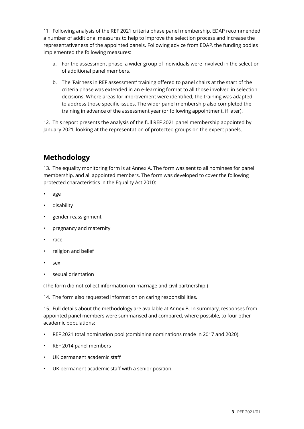11. Following analysis of the REF 2021 criteria phase panel membership, EDAP recommended a number of additional measures to help to improve the selection process and increase the representativeness of the appointed panels. Following advice from EDAP, the funding bodies implemented the following measures:

- a. For the assessment phase, a wider group of individuals were involved in the selection of additional panel members.
- b. The 'Fairness in REF assessment' training offered to panel chairs at the start of the criteria phase was extended in an e-learning format to all those involved in selection decisions. Where areas for improvement were identified, the training was adapted to address those specific issues. The wider panel membership also completed the training in advance of the assessment year (or following appointment, if later).

12. This report presents the analysis of the full REF 2021 panel membership appointed by January 2021, looking at the representation of protected groups on the expert panels.

## **Methodology**

13. The equality monitoring form is at Annex A. The form was sent to all nominees for panel membership, and all appointed members. The form was developed to cover the following protected characteristics in the Equality Act 2010:

- age
- disability
- gender reassignment
- pregnancy and maternity
- race
- religion and belief
- sex
- sexual orientation

(The form did not collect information on marriage and civil partnership.)

14. The form also requested information on caring responsibilities.

15. Full details about the methodology are available at Annex B. In summary, responses from appointed panel members were summarised and compared, where possible, to four other academic populations:

- REF 2021 total nomination pool (combining nominations made in 2017 and 2020).
- REF 2014 panel members
- UK permanent academic staff
- UK permanent academic staff with a senior position.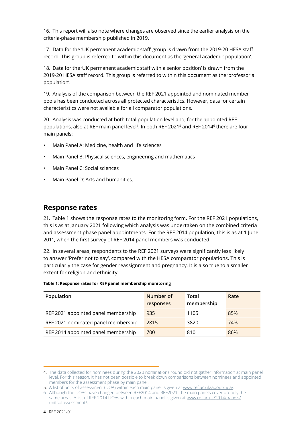16. This report will also note where changes are observed since the earlier analysis on the criteria-phase membership published in 2019.

17. Data for the 'UK permanent academic staff' group is drawn from the 2019-20 HESA staff record. This group is referred to within this document as the 'general academic population'.

18. Data for the 'UK permanent academic staff with a senior position' is drawn from the 2019-20 HESA staff record. This group is referred to within this document as the 'professorial population'.

19. Analysis of the comparison between the REF 2021 appointed and nominated member pools has been conducted across all protected characteristics. However, data for certain characteristics were not available for all comparator populations.

20. Analysis was conducted at both total population level and, for the appointed REF populations, also at REF main panel level4 . In both REF 20215 and REF 20146 there are four main panels:

- Main Panel A: Medicine, health and life sciences
- Main Panel B: Physical sciences, engineering and mathematics
- Main Panel C: Social sciences
- Main Panel D: Arts and humanities.

### **Response rates**

21. Table 1 shows the response rates to the monitoring form. For the REF 2021 populations, this is as at January 2021 following which analysis was undertaken on the combined criteria and assessment phase panel appointments. For the REF 2014 population, this is as at 1 June 2011, when the first survey of REF 2014 panel members was conducted.

22. In several areas, respondents to the REF 2021 surveys were significantly less likely to answer 'Prefer not to say', compared with the HESA comparator populations. This is particularly the case for gender reassignment and pregnancy. It is also true to a smaller extent for religion and ethnicity.

| Population                          | Number of<br>responses | Total<br>membership | Rate |
|-------------------------------------|------------------------|---------------------|------|
| REF 2021 appointed panel membership | 935                    | 1105                | 85%  |
| REF 2021 nominated panel membership | 2815                   | 3820                | 74%  |
| REF 2014 appointed panel membership | 700                    | 810                 | 86%  |

#### **Table 1: Response rates for REF panel membership monitoring**

<sup>4.</sup> The data collected for nominees during the 2020 nominations round did not gather information at main panel level. For this reason, it has not been possible to break down comparisons between nominees and appointed members for the assessment phase by main panel.

<sup>5.</sup> A list of units of assessment (UOA) within each main panel is given at www.ref.ac.uk/about/uoa/.

<sup>6.</sup> Although the UOAs have changed between REF2014 and REF2021, the main panels cover broadly the same areas. A list of REF 2014 UOAs within each main panel is given at www.ref.ac.uk/2014/panels/ unitsofassessment/.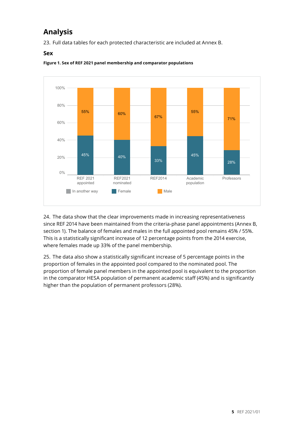## **Analysis**

23. Full data tables for each protected characteristic are included at Annex B. **Analysis of REF 2021 panel membership** l data tables

#### $S$ ex



**Figure 1. Sex of REF 2021 panel membership and comparator populations**

24. The data show that the clear improvements made in increasing representativeness **appointed nominated REF2014 population** since REF 2014 have been maintained from the criteria-phase panel appointments (Annex B, section 1). The balance of females and males in the full appointed pool remains 45% / 55%. 55% This is a statistically significant increase of 12 percentage points from the 2014 exercise,  $\blacksquare$  where females made up 33% of the panel membership. 45% 505 420  $\overline{6}$ 40% 1,65<br>1,65<br>1,65 1,120  $\sim$ 33 m ا اار<br>ا 230  $\mathbf{v}$ ,  $\frac{4}{3}$  $116015$ 55,590  $\mathbf{u}$ ,  $\mathbf{v}$  $\sim$ 

 $\overline{a}$  25. The data also show a statistically significant increase of 5 percentage points in the proportion of females in the appointed pool compared to the nominated pool. The proportion of female panel members in the appointed pool is equivalent to the proportion in the comparator HESA population of permanent academic staff (45%) and is significantly higher than the population of permanent professors (28%). proportion or remares in the appointed poor compared to the nominated poor. The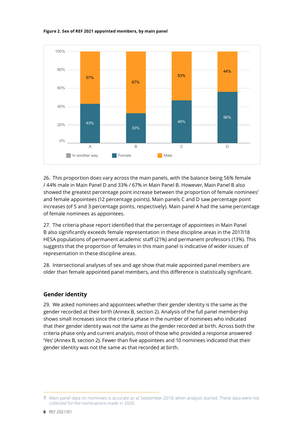**Figure 2. Sex of REF 2021 appointed members, by main panel** Sex



26. This proportion does vary across the main panels, with the balance being 56% female / 44% male in Main Panel D and 33% / 67% in Main Panel B. However, Main Panel B also **A B C** showed the greatest percentage point increase between the proportion of female nominees<sup>7</sup> and female appointees (12 percentage points). Main panels C and D saw percentage point increases (of 5 and 3 percentage points, respectively). Main panel A had the same percentage of female nominees as appointees. **200** In another way 43%  $\overline{a}$  $\overline{a}$  $\alpha$ 33% 0 0%\* 46% 130 **Known total**

27. The criteria phase report identified that the percentage of appointees in Main Panel **Prefer not to say 0%\* \* 0%\* \* 2%\* 5\*** B also significantly exceeds female representation in these discipline areas in the 2017/18 HESA populations of permanent academic staff (21%) and permanent professors (13%). This suggests that the proportion of females in this main panel is indicative of wider issues of representation in these discipline areas. less than 20 in which case the percentages are calculated using rounded counts (to the nearest five). Percentages are then rounded to the nearest one per cent.

28. Intersectional analyses of sex and age show that male appointed panel members are older than female appointed panel members, and this difference is statistically significant.

#### **Gender identity**

29. We asked nominees and appointees whether their gender identity is the same as the gender recorded at their birth (Annex B, section 2). Analysis of the full panel membership shows small increases since the criteria phase in the number of nominees who indicated that their gender identity was not the same as the gender recorded at birth. Across both the criteria phase only and current analysis, most of those who provided a response answered 'Yes' (Annex B, section 2). Fewer than five appointees and 10 nominees indicated that their gender identity was not the same as that recorded at birth.

<sup>7.</sup> Main panel data on nominees is accurate as at September 2018, when analysis started. These data were not collected for the nominations made in 2020.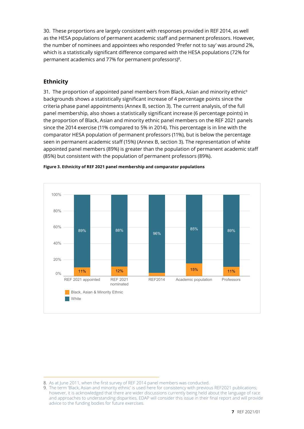30. These proportions are largely consistent with responses provided in REF 2014, as well as the HESA populations of permanent academic staff and permanent professors. However, the number of nominees and appointees who responded 'Prefer not to say' was around 2%, which is a statistically significant difference compared with the HESA populations (72% for permanent academics and 77% for permanent professors)8.

#### **Ethnicity**

31. The proportion of appointed panel members from Black, Asian and minority ethnic<sup>9</sup> backgrounds shows a statistically significant increase of 4 percentage points since the criteria phase panel appointments (Annex B, section 3). The current analysis, of the full panel membership, also shows a statistically significant increase (6 percentage points) in the proportion of Black, Asian and minority ethnic panel members on the REF 2021 panels since the 2014 exercise (11% compared to 5% in 2014). This percentage is in line with the comparator HESA population of permanent professors (11%), but is below the percentage seen in permanent academic staff (15%) (Annex B, section 3). The representation of white **Analysis of REF 2021 panel membership** appointed panel members (89%) is greater than the population of permanent academic staff (85%) but consistent with the population of permanent professors (89%). Main panel





<sup>8.</sup> As at June 2011, when the first survey of REF 2014 panel members was conducted. **6.** As at june 20 in, when the inst survey of REF 2014 panel members was conquited.

<sup>9.</sup> The term 'Black, Asian and minority ethnic' is used here for consistency with previous REF2021 publications; however, it is acknowledged that there are wider discussions currently being held about the language of race and approaches to understanding disparities. EDAP will consider this issue in their final report and will provide advice to the funding bodies for future exercises.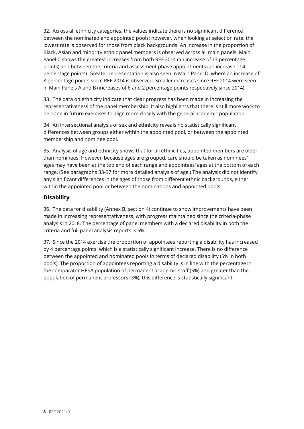32. Across all ethnicity categories, the values indicate there is no significant difference between the nominated and appointed pools; however, when looking at selection rate, the lowest rate is observed for those from black backgrounds. An increase in the proportion of Black, Asian and minority ethnic panel members is observed across all main panels. Main Panel C shows the greatest increases from both REF 2014 (an increase of 13 percentage points) and between the criteria and assessment phase appointments (an increase of 4 percentage points). Greater representation is also seen in Main Panel D, where an increase of 8 percentage points since REF 2014 is observed. Smaller increases since REF 2014 were seen in Main Panels A and B (increases of 6 and 2 percentage points respectively since 2014).

33. The data on ethnicity indicate that clear progress has been made in increasing the representativeness of the panel membership. It also highlights that there is still more work to be done in future exercises to align more closely with the general academic population.

34. An intersectional analysis of sex and ethnicity reveals no statistically significant differences between groups either within the appointed pool, or between the appointed membership and nominee pool.

35. Analysis of age and ethnicity shows that for all ethnicities, appointed members are older than nominees. However, because ages are grouped, care should be taken as nominees' ages may have been at the top end of each range and appointees' ages at the bottom of each range. (See paragraphs 33-37 for more detailed analysis of age.) The analysis did not identify any significant differences in the ages of those from different ethnic backgrounds, either within the appointed pool or between the nominations and appointed pools.

#### **Disability**

36. The data for disability (Annex B, section 4) continue to show improvements have been made in increasing representativeness, with progress maintained since the criteria-phase analysis in 2018. The percentage of panel members with a declared disability in both the criteria and full panel analysis reports is 5%.

37. Since the 2014 exercise the proportion of appointees reporting a disability has increased by 4 percentage points, which is a statistically significant increase. There is no difference between the appointed and nominated pools in terms of declared disability (5% in both pools). The proportion of appointees reporting a disability is in line with the percentage in the comparator HESA population of permanent academic staff (5%) and greater than the population of permanent professors (3%); this difference is statistically significant.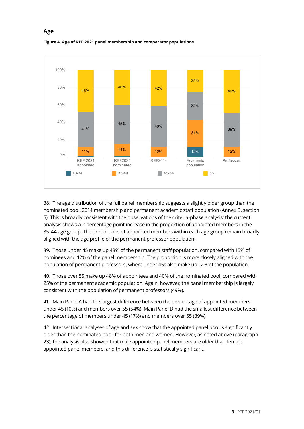

#### **Figure 4. Age of REF 2021 panel membership and comparator populations** All

**Age**

Select characteristic:

38. The age distribution of the full panel membership suggests a slightly older group than the nominated pool, 2014 membership and permanent academic staff population (Annex B, section 5). This is broadly consistent with the observations of the criteria-phase analysis; the current analysis shows a 2-percentage point increase in the proportion of appointed members in the 41% 35-44 age group. The proportions of appointed members within each age group remain broadly aligned with the age profile of the permanent professor population. **99% 925 99% 2,780 690** 11%  $5^{\circ}$ י<br>א<sup>ס ול</sup>  $1, 2$ 395  $\sim$ 12%  $\frac{1}{3}$ 32% 31%  $39,115$ 38,960<br>1 **Known total**

39. Those under 45 make up 43% of the permanent staff population, compared with 15% of **Prefer not to say 1% 10 1% 35 1% 10 0% 0** nominees and 12% of the panel membership. The proportion is more closely aligned with the population of permanent professors, where under 45s also make up 12% of the population. less than 20 in which case the percentages are calculated using rounded counts (to the nearest five). Percentages are then rounded to the nearest one per cent.

40. Those over 55 make up 48% of appointees and 40% of the nominated pool, compared with 25% of the permanent academic population. Again, however, the panel membership is largely consistent with the population of permanent professors (49%).

41. Main Panel A had the largest difference between the percentage of appointed members under 45 (10%) and members over 55 (54%). Main Panel D had the smallest difference between the percentage of members under 45 (17%) and members over 55 (39%).

42. Intersectional analyses of age and sex show that the appointed panel pool is significantly older than the nominated pool, for both men and women. However, as noted above (paragraph 23), the analysis also showed that male appointed panel members are older than female appointed panel members, and this difference is statistically significant.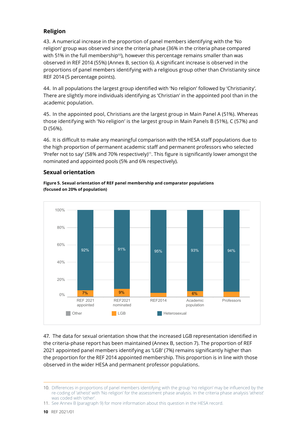#### **Religion**

43. A numerical increase in the proportion of panel members identifying with the 'No religion' group was observed since the criteria phase (36% in the criteria phase compared with 51% in the full membership<sup>10</sup>), however this percentage remains smaller than was observed in REF 2014 (55%) (Annex B, section 6). A significant increase is observed in the proportions of panel members identifying with a religious group other than Christianity since REF 2014 (5 percentage points).

44. In all populations the largest group identified with 'No religion' followed by 'Christianity'. There are slightly more individuals identifying as 'Christian' in the appointed pool than in the academic population.

45. In the appointed pool, Christians are the largest group in Main Panel A (51%). Whereas those identifying with 'No religion' is the largest group in Main Panels B (51%), C (57%) and D (56%).

46. It is difficult to make any meaningful comparison with the HESA staff populations due to the high proportion of permanent academic staff and permanent professors who selected 'Prefer not to say' (58% and 70% respectively)<sup>11</sup>. This figure is significantly lower amongst the nominated and appointed pools (5% and 6% respectively). **Analysis of REF 2021 panel membership** 2021 update

#### **Sexual orientation** Select characteristic:





47. The data for sexual orientation show that the increased LGB representation identified in **REF 2021** the criteria-phase report has been maintained (Annex B, section 7). The proportion of REF 2021 appointed panel members identifying as 'LGB' (7%) remains significantly higher than the proportion for the REF 2014 appointed membership. This proportion is in line with those observed in the wider HESA and permanent professor populations. **appointed REF2021** nat the increased LGB representation ide **population Professors 87% 810 89% 2,510 630**

<sup>10.</sup> Differences in proportions of panel members identifying with the group 'no religion' may be influenced by the re-coding of 'atheist' with 'No religion' for the assessment phase analysis. In the criteria phase analysis 'atheist' was coded with 'other'.

<sup>11.</sup> See Annex B (paragraph 9) for more information about this question in the HESA record.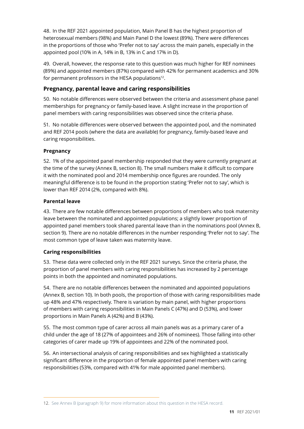48. In the REF 2021 appointed population, Main Panel B has the highest proportion of heterosexual members (98%) and Main Panel D the lowest (89%). There were differences in the proportions of those who 'Prefer not to say' across the main panels, especially in the appointed pool (10% in A, 14% in B, 13% in C and 17% in D).

49. Overall, however, the response rate to this question was much higher for REF nominees (89%) and appointed members (87%) compared with 42% for permanent academics and 30% for permanent professors in the HESA populations $12$ .

#### **Pregnancy, parental leave and caring responsibilities**

50. No notable differences were observed between the criteria and assessment phase panel memberships for pregnancy or family-based leave. A slight increase in the proportion of panel members with caring responsibilities was observed since the criteria phase.

51. No notable differences were observed between the appointed pool, and the nominated and REF 2014 pools (where the data are available) for pregnancy, family-based leave and caring responsibilities.

#### **Pregnancy**

52. 1% of the appointed panel membership responded that they were currently pregnant at the time of the survey (Annex B, section 8). The small numbers make it difficult to compare it with the nominated pool and 2014 membership once figures are rounded. The only meaningful difference is to be found in the proportion stating 'Prefer not to say', which is lower than REF 2014 (2%, compared with 8%).

#### **Parental leave**

43. There are few notable differences between proportions of members who took maternity leave between the nominated and appointed populations; a slightly lower proportion of appointed panel members took shared parental leave than in the nominations pool (Annex B, section 9). There are no notable differences in the number responding 'Prefer not to say'. The most common type of leave taken was maternity leave.

#### **Caring responsibilities**

53. These data were collected only in the REF 2021 surveys. Since the criteria phase, the proportion of panel members with caring responsibilities has increased by 2 percentage points in both the appointed and nominated populations.

54. There are no notable differences between the nominated and appointed populations (Annex B, section 10). In both pools, the proportion of those with caring responsibilities made up 48% and 47% respectively. There is variation by main panel, with higher proportions of members with caring responsibilities in Main Panels C (47%) and D (53%), and lower proportions in Main Panels A (42%) and B (43%).

55. The most common type of carer across all main panels was as a primary carer of a child under the age of 18 (27% of appointees and 26% of nominees). Those falling into other categories of carer made up 19% of appointees and 22% of the nominated pool.

56. An intersectional analysis of caring responsibilities and sex highlighted a statistically significant difference in the proportion of female appointed panel members with caring responsibilities (53%, compared with 41% for male appointed panel members).

<sup>12.</sup> See Annex B (paragraph 9) for more information about this question in the HESA record.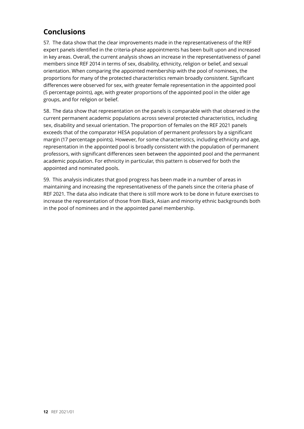## **Conclusions**

57. The data show that the clear improvements made in the representativeness of the REF expert panels identified in the criteria-phase appointments has been built upon and increased in key areas. Overall, the current analysis shows an increase in the representativeness of panel members since REF 2014 in terms of sex, disability, ethnicity, religion or belief, and sexual orientation. When comparing the appointed membership with the pool of nominees, the proportions for many of the protected characteristics remain broadly consistent. Significant differences were observed for sex, with greater female representation in the appointed pool (5 percentage points), age, with greater proportions of the appointed pool in the older age groups, and for religion or belief.

58. The data show that representation on the panels is comparable with that observed in the current permanent academic populations across several protected characteristics, including sex, disability and sexual orientation. The proportion of females on the REF 2021 panels exceeds that of the comparator HESA population of permanent professors by a significant margin (17 percentage points). However, for some characteristics, including ethnicity and age, representation in the appointed pool is broadly consistent with the population of permanent professors, with significant differences seen between the appointed pool and the permanent academic population. For ethnicity in particular, this pattern is observed for both the appointed and nominated pools.

59. This analysis indicates that good progress has been made in a number of areas in maintaining and increasing the representativeness of the panels since the criteria phase of REF 2021. The data also indicate that there is still more work to be done in future exercises to increase the representation of those from Black, Asian and minority ethnic backgrounds both in the pool of nominees and in the appointed panel membership.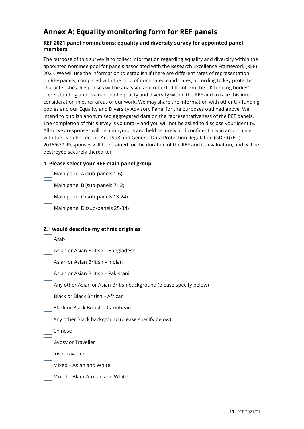## **Annex A: Equality monitoring form for REF panels**

#### **REF 2021 panel nominations: equality and diversity survey for appointed panel members**

The purpose of this survey is to collect information regarding equality and diversity within the appointed nominee pool for panels associated with the Research Excellence Framework (REF) 2021. We will use the information to establish if there are different rates of representation on REF panels, compared with the pool of nominated candidates, according to key protected characteristics. Responses will be analysed and reported to inform the UK funding bodies' understanding and evaluation of equality and diversity within the REF and to take this into consideration in other areas of our work. We may share the information with other UK funding bodies and our Equality and Diversity Advisory Panel for the purposes outlined above. We intend to publish anonymised aggregated data on the representativeness of the REF panels. The completion of this survey is voluntary and you will not be asked to disclose your identity. All survey responses will be anonymous and held securely and confidentially in accordance with the Data Protection Act 1998 and General Data Protection Regulation (GDPR) (EU) 2016/679. Responses will be retained for the duration of the REF and its evaluation, and will be destroyed securely thereafter.

#### **1. Please select your REF main panel group**

Main panel A (sub-panels 1-6)

Main panel B (sub-panels 7-12)

Main panel C (sub-panels 13-24)

Main panel D (sub-panels 25-34)

#### **2. I would describe my ethnic origin as**

Arab

Asian or Asian British – Bangladeshi

Asian or Asian British – Indian

Asian or Asian British – Pakistani

Any other Asian or Asian British background (please specify below)

Black or Black British – African

Black or Black British – Caribbean

Any other Black background (please specify below)

Chinese

Gypsy or Traveller

Irish Traveller

Mixed – Asian and White

Mixed – Black African and White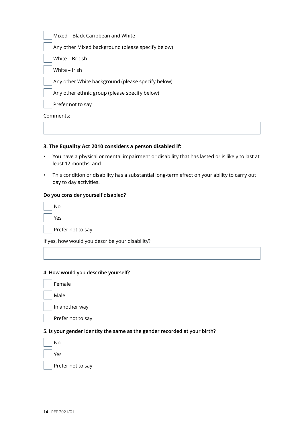Mixed – Black Caribbean and White

Any other Mixed background (please specify below)

White – British

White – Irish

Any other White background (please specify below)

Any other ethnic group (please specify below)

Prefer not to say

Comments:

#### **3. The Equality Act 2010 considers a person disabled if:**

- You have a physical or mental impairment or disability that has lasted or is likely to last at least 12 months, and
- This condition or disability has a substantial long-term effect on your ability to carry out day to day activities.

#### **Do you consider yourself disabled?**

| No  |
|-----|
| Yes |
|     |

Prefer not to say

If yes, how would you describe your disability?

#### **4. How would you describe yourself?**

Male

In another way

Prefer not to say

#### **5. Is your gender identity the same as the gender recorded at your birth?**



Prefer not to say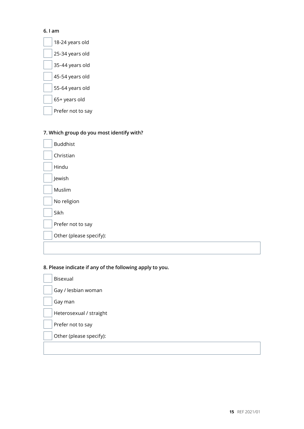#### **6. I am**



## **7. Which group do you most identify with?**

| <b>Buddhist</b>         |
|-------------------------|
| Christian               |
| Hindu                   |
| Jewish                  |
| Muslim                  |
| No religion             |
| Sikh                    |
| Prefer not to say       |
| Other (please specify): |
|                         |

#### **8. Please indicate if any of the following apply to you.**

| Bisexual                |
|-------------------------|
| Gay / lesbian woman     |
| Gay man                 |
| Heterosexual / straight |
| Prefer not to say       |
| Other (please specify): |
|                         |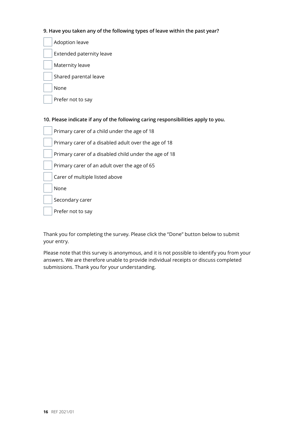#### **9. Have you taken any of the following types of leave within the past year?**

- Adoption leave Extended paternity leave Maternity leave Shared parental leave
	- None

Prefer not to say

#### **10. Please indicate if any of the following caring responsibilities apply to you.**

| Primary carer of a child under the age of 18          |
|-------------------------------------------------------|
| Primary carer of a disabled adult over the age of 18  |
| Primary carer of a disabled child under the age of 18 |
| Primary carer of an adult over the age of 65          |
| Carer of multiple listed above                        |
| None                                                  |
| Secondary carer                                       |
| Prefer not to say                                     |

Thank you for completing the survey. Please click the "Done" button below to submit your entry.

Please note that this survey is anonymous, and it is not possible to identify you from your answers. We are therefore unable to provide individual receipts or discuss completed submissions. Thank you for your understanding.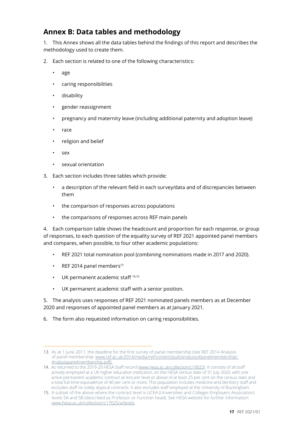## **Annex B: Data tables and methodology**

1. This Annex shows all the data tables behind the findings of this report and describes the methodology used to create them.

- 2. Each section is related to one of the following characteristics:
	- age
	- caring responsibilities
	- disability
	- gender reassignment
	- pregnancy and maternity leave (including additional paternity and adoption leave)
	- race
	- religion and belief
	- sex
	- sexual orientation
- 3. Each section includes three tables which provide:
	- a description of the relevant field in each survey/data and of discrepancies between them
	- the comparison of responses across populations
	- the comparisons of responses across REF main panels

4. Each comparison table shows the headcount and proportion for each response, or group of responses, to each question of the equality survey of REF 2021 appointed panel members and compares, when possible, to four other academic populations:

- REF 2021 total nomination pool (combining nominations made in 2017 and 2020).
- $\cdot$  REF 2014 panel members<sup>13</sup>
- UK permanent academic staff 14,15
- UK permanent academic staff with a senior position.

5. The analysis uses responses of REF 2021 nominated panels members as at December 2020 and responses of appointed panel members as at January 2021.

6. The form also requested information on caring responsibilities.

<sup>13.</sup> As at 1 June 2011, the deadline for the first survey of panel membership (see REF 2014 Analysis of panel membership: www.ref.ac.uk/2014/media/ref/content/pub/analysisofpanelmembership/ Analysispanelmembership.pdf).

<sup>14.</sup> As returned to the 2019-20 HESA Staff record (www.hesa.ac.uk/collection/c19025). It consists of all staff actively employed at a UK higher education institution, on the HESA census date of 31 July 2020, with one active permanent academic contract at lecturer level or above of at least 25 per cent on the census date and a total full-time equivalence of 40 per cent or more. This population includes medicine and dentistry staff and excludes staff on solely atypical contracts. It also excludes staff employed at the University of Buckingham.

<sup>15.</sup> A subset of the above where the contract level is UCEA (Universities and Colleges Employers Association) levels 5A and 5B (described as Professor or Function head). See HESA website for further information: www.hesa.ac.uk/collection/c17025/a/levels.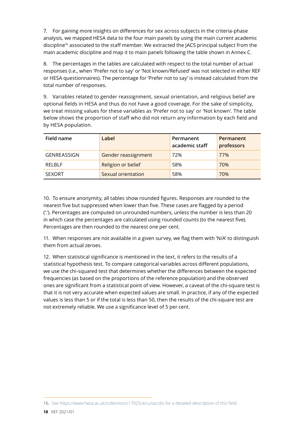7. For gaining more insights on differences for sex across subjects in the criteria-phase analysis, we mapped HESA data to the four main panels by using the main current academic discipline<sup>16</sup> associated to the staff member. We extracted the JACS principal subject from the main academic discipline and map it to main panels following the table shown in Annex C.

8. The percentages in the tables are calculated with respect to the total number of actual responses (i.e., when 'Prefer not to say' or 'Not known/Refused' was not selected in either REF or HESA questionnaires). The percentage for 'Prefer not to say' is instead calculated from the total number of responses.

9. Variables related to gender reassignment, sexual orientation, and religious belief are optional fields in HESA and thus do not have a good coverage. For the sake of simplicity, we treat missing values for these variables as 'Prefer not to say' or 'Not known'. The table below shows the proportion of staff who did not return any information by each field and by HESA population.

| Field name         | Label               | Permanent<br>academic staff | Permanent<br>professors |
|--------------------|---------------------|-----------------------------|-------------------------|
| <b>GENREASSIGN</b> | Gender reassignment | 72%                         | 77%                     |
| RFI BI F           | Religion or belief  | 58%                         | 70%                     |
| <b>SEXORT</b>      | Sexual orientation  | 58%                         | 70%                     |

10. To ensure anonymity, all tables show rounded figures. Responses are rounded to the nearest five but suppressed when lower than five. These cases are flagged by a period ('.'). Percentages are computed on unrounded numbers, unless the number is less than 20 in which case the percentages are calculated using rounded counts (to the nearest five). Percentages are then rounded to the nearest one per cent.

11. When responses are not available in a given survey, we flag them with 'N/A' to distinguish them from actual zeroes.

12. When statistical significance is mentioned in the text, it refers to the results of a statistical hypothesis test. To compare categorical variables across different populations, we use the chi-squared test that determines whether the differences between the expected frequencies (as based on the proportions of the reference population) and the observed ones are significant from a statistical point of view. However, a caveat of the chi-square test is that it is not very accurate when expected values are small. In practice, if any of the expected values is less than 5 or if the total is less than 50, then the results of the chi-square test are not extremely reliable. We use a significance level of 5 per cent.

<sup>16.</sup> See https://www.hesa.ac.uk/collection/c17025/a/curaccdis for a detailed description of this field.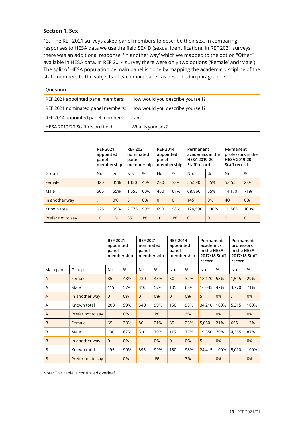#### **Section 1. Sex**

13. The REF 2021 surveys asked panel members to describe their sex. In comparing responses to HESA data we use the field SEXID (sexual identification). In REF 2021 surveys there was an additional response: 'In another way' which we mapped to the option "Other" available in HESA data. In REF 2014 survey there were only two options ('Female' and 'Male'). The split of HESA population by main panel is done by mapping the academic discipline of the staff members to the subjects of each main panel, as described in paragraph 7.

| Question                          |                                  |
|-----------------------------------|----------------------------------|
| REF 2021 appointed panel members: | How would you describe yourself? |
| REF 2021 nominated panel members: | How would you describe yourself? |
| REF 2014 appointed panel members: | am                               |
| HESA 2019/20 Staff record field:  | What is your sex?                |

|                   | <b>REF 2021</b><br>appointed<br>panel<br>membership |      | <b>REF 2021</b><br>nominated<br>panel | membership | <b>REF 2014</b><br>appointed<br>panel<br>membership |          | Permanent<br>academics in the<br><b>HESA 2019-20</b><br>Staff record |          | Permanent<br>professors in the<br><b>HESA 2019-20</b><br>Staff record |                |
|-------------------|-----------------------------------------------------|------|---------------------------------------|------------|-----------------------------------------------------|----------|----------------------------------------------------------------------|----------|-----------------------------------------------------------------------|----------------|
| Group             | No.                                                 | $\%$ | No.                                   | $\%$       | No.                                                 | %        | $\%$<br>No.                                                          |          | No.                                                                   | $\%$           |
| Female            | 420                                                 | 45%  | 1.120                                 | 40%        | 230                                                 | 33%      | 55,590                                                               | 45%      | 5,655                                                                 | 28%            |
| Male              | 505<br>55%                                          |      | 1.655                                 | 60%        | 460                                                 | 67%      | 68,860                                                               | 55%      | 14,170                                                                | 71%            |
| In another way    | $\bullet$                                           | 0%   | 5                                     | 0%         | $\Omega$                                            | $\Omega$ | 145                                                                  | 0%       | 40                                                                    | 0%             |
| Known total       | 925                                                 | 99%  | 2.775                                 | 99%        | 690                                                 | 98%      | 124,590                                                              | 100%     | 19,865                                                                | 100%           |
| Prefer not to say | 10                                                  | 1%   | 35                                    | 1%         | 10                                                  | 1%       | $\overline{0}$                                                       | $\Omega$ | $\Omega$                                                              | $\overline{0}$ |

|                |                   | <b>REF 2021</b><br>appointed<br>panel<br>membership |      | <b>REF 2021</b><br>nominated<br>panel<br>membership |     | <b>REF 2014</b><br>appointed<br>panel<br>membership |     | Permanent<br>academics<br>in the HESA<br>2017/18 Staff<br>record |      | Permanent<br>professors<br>in the HESA<br>2017/18 Staff<br>record |      |
|----------------|-------------------|-----------------------------------------------------|------|-----------------------------------------------------|-----|-----------------------------------------------------|-----|------------------------------------------------------------------|------|-------------------------------------------------------------------|------|
| Main panel     | Group             | No.                                                 | $\%$ | No.                                                 | %   | No.                                                 | %   | No.                                                              | %    | No.                                                               | %    |
| $\overline{A}$ | Female            | 85                                                  | 43%  | 230                                                 | 43% | 50                                                  | 32% | 18,170                                                           | 53%  | 1,545                                                             | 29%  |
| A              | Male              | 115                                                 | 57%  | 310                                                 | 57% | 105                                                 | 68% | 16,035                                                           | 47%  | 3,770                                                             | 71%  |
| $\overline{A}$ | In another way    | $\mathbf 0$                                         | 0%   | $\overline{0}$                                      | 0%  | $\mathbf{0}$                                        | 0%  | 5                                                                | 0%   |                                                                   | 0%   |
| A              | Known total       | 200                                                 | 99%  | 540                                                 | 99% | 150                                                 | 98% | 34,210                                                           | 100% | 5,315                                                             | 100% |
| $\overline{A}$ | Prefer not to say |                                                     | 0%   |                                                     | 1%  | $\ddot{\phantom{a}}$                                | 3%  | $\cdot$                                                          | 0%   |                                                                   | 0%   |
| B              | Female            | 65                                                  | 33%  | 80                                                  | 21% | 35                                                  | 23% | 5,060                                                            | 21%  | 655                                                               | 13%  |
| B              | Male              | 130                                                 | 67%  | 310                                                 | 79% | 115                                                 | 77% | 19,350                                                           | 79%  | 4,355                                                             | 87%  |
| B              | In another way    | $\overline{0}$                                      | 0%   |                                                     | 0%  | $\mathbf{0}$                                        | 0%  | 5                                                                | 0%   |                                                                   | 0%   |
| B              | Known total       | 195                                                 | 99%  | 395                                                 | 99% | 150                                                 | 98% | 24,415                                                           | 100% | 5,010                                                             | 100% |
| B              | Prefer not to say |                                                     | 0%   |                                                     | 1%  |                                                     | 3%  |                                                                  | 0%   |                                                                   | 0%   |

Note: This table is continued overleaf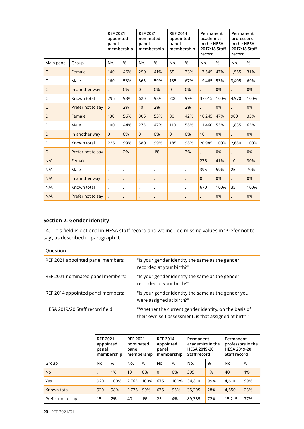|              |                   | <b>REF 2021</b><br>appointed<br>panel<br>membership |                      | <b>REF 2021</b><br>nominated<br>panel<br>membership |                      | <b>REF 2014</b><br>appointed<br>panel<br>membership |                      | Permanent<br>academics<br>in the HESA<br>2017/18 Staff<br>record |      | Permanent<br>professors<br>in the HESA<br>record | 2017/18 Staff |
|--------------|-------------------|-----------------------------------------------------|----------------------|-----------------------------------------------------|----------------------|-----------------------------------------------------|----------------------|------------------------------------------------------------------|------|--------------------------------------------------|---------------|
| Main panel   | Group             | No.                                                 | %                    | No.                                                 | %                    | No.                                                 | %                    | No.                                                              | %    | No.                                              | %             |
| $\mathsf{C}$ | Female            | 140                                                 | 46%                  | 250                                                 | 41%                  | 65                                                  | 33%                  | 17,545                                                           | 47%  | 1,565                                            | 31%           |
| C            | Male              | 160                                                 | 53%                  | 365                                                 | 59%                  | 135                                                 | 67%                  | 19,465                                                           | 53%  | 3,405                                            | 69%           |
| C            | In another way    |                                                     | 0%                   | $\Omega$                                            | 0%                   | $\Omega$                                            | 0%                   |                                                                  | 0%   |                                                  | 0%            |
| C            | Known total       | 295                                                 | 98%                  | 620                                                 | 98%                  | 200                                                 | 99%                  | 37,015                                                           | 100% | 4.970                                            | 100%          |
| C            | Prefer not to say | 5                                                   | 2%                   | 10                                                  | 2%                   |                                                     | 2%                   |                                                                  | 0%   |                                                  | 0%            |
| D            | Female            | 130                                                 | 56%                  | 305                                                 | 53%                  | 80                                                  | 42%                  | 10,245                                                           | 47%  | 980                                              | 35%           |
| D            | Male              | 100                                                 | 44%                  | 275                                                 | 47%                  | 110                                                 | 58%                  | 11,460                                                           | 53%  | 1,835                                            | 65%           |
| D            | In another way    | $\mathbf{0}$                                        | 0%                   | $\overline{0}$                                      | 0%                   | $\overline{0}$                                      | 0%                   | 10                                                               | 0%   |                                                  | 0%            |
| D            | Known total       | 235                                                 | 99%                  | 580                                                 | 99%                  | 185                                                 | 98%                  | 20,985                                                           | 100% | 2.680                                            | 100%          |
| D            | Prefer not to say |                                                     | 2%                   |                                                     | 1%                   | $\ddot{\phantom{0}}$                                | 3%                   |                                                                  | 0%   |                                                  | 0%            |
| N/A          | Female            |                                                     | $\bullet$            |                                                     | $\ddot{\phantom{0}}$ | $\ddot{\phantom{0}}$                                | $\ddot{\phantom{0}}$ | 275                                                              | 41%  | 10                                               | 30%           |
| N/A          | Male              | $\ddot{\phantom{0}}$                                | $\ddot{\phantom{0}}$ | $\ddot{\phantom{0}}$                                | $\bullet$            | $\cdot$                                             | $\cdot$              | 395                                                              | 59%  | 25                                               | 70%           |
| N/A          | In another way    | $\ddot{\phantom{0}}$                                | $\ddot{\phantom{0}}$ |                                                     | $\ddot{\phantom{0}}$ |                                                     |                      | $\overline{0}$                                                   | 0%   |                                                  | 0%            |
| N/A          | Known total       | $\ddot{\phantom{0}}$                                | $\ddot{\phantom{0}}$ | $\ddot{\phantom{0}}$                                | $\cdot$              | $\ddot{\phantom{0}}$                                | $\ddot{\phantom{0}}$ | 670                                                              | 100% | 35                                               | 100%          |
| N/A          | Prefer not to say |                                                     | $\ddot{\phantom{0}}$ |                                                     |                      | $\ddot{\phantom{0}}$                                |                      |                                                                  | 0%   |                                                  | 0%            |

#### **Section 2. Gender identity**

14. This field is optional in HESA staff record and we include missing values in 'Prefer not to say', as described in paragraph 9.

| Question                          |                                                                                                                 |
|-----------------------------------|-----------------------------------------------------------------------------------------------------------------|
| REF 2021 appointed panel members: | "Is your gender identity the same as the gender<br>recorded at your birth?"                                     |
| REF 2021 nominated panel members: | "Is your gender identity the same as the gender<br>recorded at your birth?"                                     |
| REF 2014 appointed panel members: | "Is your gender identity the same as the gender you<br>were assigned at birth?"                                 |
| HESA 2019/20 Staff record field:  | "Whether the current gender identity, on the basis of<br>their own self-assessment, is that assigned at birth." |

|                   | <b>REF 2021</b><br>appointed<br>panel<br>membership |               | <b>REF 2021</b><br>nominated<br>panel<br>membership |               | <b>REF 2014</b><br>appointed<br>panel<br>membership |               | Permanent<br>academics in the<br><b>HESA 2019-20</b><br>Staff record |      | Permanent<br>professors in the<br><b>HESA 2019-20</b><br>Staff record |      |
|-------------------|-----------------------------------------------------|---------------|-----------------------------------------------------|---------------|-----------------------------------------------------|---------------|----------------------------------------------------------------------|------|-----------------------------------------------------------------------|------|
| Group             | No.                                                 | $\frac{9}{6}$ | No.                                                 | $\frac{0}{0}$ | No.                                                 | $\frac{0}{0}$ | No.                                                                  | $\%$ | No.                                                                   | $\%$ |
| <b>No</b>         |                                                     | 1%            | 10                                                  | 0%            | $\Omega$                                            | 0%            | 395                                                                  | 1%   | 40                                                                    | 1%   |
| Yes               | 920                                                 | 100%          | 2.765                                               | 100%          | 675                                                 | 100%          | 34,810                                                               | 99%  | 4.610                                                                 | 99%  |
| Known total       | 920                                                 | 98%           | 2.775                                               | 99%           | 675                                                 | 96%           | 35,205                                                               | 28%  | 4.650                                                                 | 23%  |
| Prefer not to say | 15                                                  | 2%            | 40                                                  | 1%            | 25                                                  | 4%            | 89,385                                                               | 72%  | 15,215                                                                | 77%  |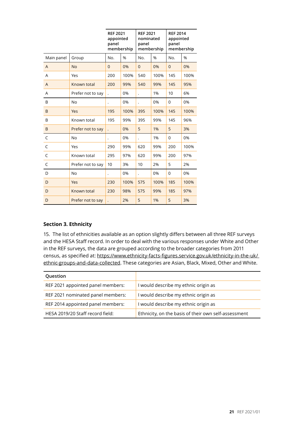|            |                   | <b>REF 2021</b><br>appointed<br>panel | membership | <b>REF 2021</b><br>nominated<br>panel<br>membership |      | <b>REF 2014</b><br>appointed<br>panel<br>membership |      |
|------------|-------------------|---------------------------------------|------------|-----------------------------------------------------|------|-----------------------------------------------------|------|
| Main panel | Group             | No.                                   | %          | No.                                                 | %    | No.                                                 | %    |
| A          | <b>No</b>         | $\overline{0}$                        | 0%         | $\overline{0}$                                      | 0%   | $\overline{0}$                                      | 0%   |
| A          | Yes               | 200                                   | 100%       | 540                                                 | 100% | 145                                                 | 100% |
| A          | Known total       | 200                                   | 99%        | 540                                                 | 99%  | 145                                                 | 95%  |
| A          | Prefer not to say |                                       | 0%         | $\ddot{\phantom{0}}$                                | 1%   | 10                                                  | 6%   |
| B          | <b>No</b>         | $\ddot{\phantom{0}}$                  | 0%         | $\ddot{\phantom{0}}$                                | 0%   | $\Omega$                                            | 0%   |
| B          | Yes               | 195                                   | 100%       | 395                                                 | 100% | 145                                                 | 100% |
| B          | Known total       | 195                                   | 99%        | 395                                                 | 99%  | 145                                                 | 96%  |
| B          | Prefer not to say |                                       | 0%         | 5                                                   | 1%   | 5                                                   | 3%   |
| C          | No                |                                       | 0%         | $\ddot{\phantom{0}}$                                | 1%   | 0                                                   | 0%   |
| C          | Yes               | 290                                   | 99%        | 620                                                 | 99%  | 200                                                 | 100% |
| C          | Known total       | 295                                   | 97%        | 620                                                 | 99%  | 200                                                 | 97%  |
| C          | Prefer not to say | 10                                    | 3%         | 10                                                  | 2%   | 5                                                   | 2%   |
| D          | No                |                                       | 0%         | $\ddot{\phantom{0}}$                                | 0%   | 0                                                   | 0%   |
| D          | Yes               | 230                                   | 100%       | 575                                                 | 100% | 185                                                 | 100% |
| D          | Known total       | 230                                   | 98%        | 575                                                 | 99%  | 185                                                 | 97%  |
| D          | Prefer not to say |                                       | 2%         | 5                                                   | 1%   | 5                                                   | 3%   |

#### **Section 3. Ethnicity**

15. The list of ethnicities available as an option slightly differs between all three REF surveys and the HESA Staff record. In order to deal with the various responses under White and Other in the REF surveys, the data are grouped according to the broader categories from 2011 census, as specified at: https://www.ethnicity-facts-figures.service.gov.uk/ethnicity-in-the-uk/ ethnic-groups-and-data-collected. These categories are Asian, Black, Mixed, Other and White.

| Question                          |                                                      |
|-----------------------------------|------------------------------------------------------|
| REF 2021 appointed panel members: | I would describe my ethnic origin as                 |
| REF 2021 nominated panel members: | I would describe my ethnic origin as                 |
| REF 2014 appointed panel members: | I would describe my ethnic origin as                 |
| HESA 2019/20 Staff record field:  | Ethnicity, on the basis of their own self-assessment |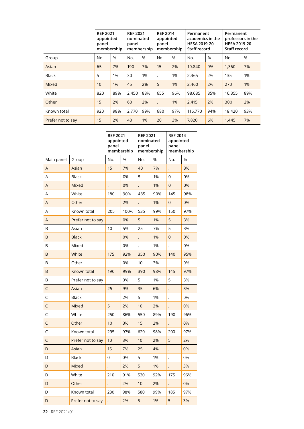|                   | <b>REF 2021</b><br>appointed<br>panel<br>membership |     | <b>REF 2021</b><br>nominated<br>panel | membership | <b>REF 2014</b><br>appointed<br>panel | membership | Permanent<br>academics in the<br><b>HESA 2019-20</b><br>Staff record |      | Permanent<br>professors in the<br><b>HESA 2019-20</b><br>Staff record |      |
|-------------------|-----------------------------------------------------|-----|---------------------------------------|------------|---------------------------------------|------------|----------------------------------------------------------------------|------|-----------------------------------------------------------------------|------|
| Group             | No.                                                 | %   | No.                                   | %          | No.                                   | $\%$       | No.                                                                  | $\%$ | No.                                                                   | $\%$ |
| Asian             | 65                                                  | 7%  | 190                                   | 7%         | 15                                    | 2%         | 10,840                                                               | 9%   | 1,360                                                                 | 7%   |
| <b>Black</b>      | 5                                                   | 1%  | 30                                    | 1%         |                                       | 1%         | 2,365                                                                | 2%   | 135                                                                   | 1%   |
| <b>Mixed</b>      | 10                                                  | 1%  | 45                                    | 2%         | 5                                     | 1%         | 2,460                                                                | 2%   | 270                                                                   | 1%   |
| White             | 820                                                 | 89% | 2,450                                 | 88%        | 655                                   | 96%        | 98,685                                                               | 85%  | 16,355                                                                | 89%  |
| Other             | 15                                                  | 2%  | 60                                    | 2%         | $\ddot{\phantom{0}}$                  | 1%         | 2,415                                                                | 2%   | 300                                                                   | 2%   |
| Known total       | 920                                                 | 98% | 2,770                                 | 99%        | 680                                   | 97%        | 116,770                                                              | 94%  | 18,420                                                                | 93%  |
| Prefer not to say | 15                                                  | 2%  | 40                                    | 1%         | 20                                    | 3%         | 7,820                                                                | 6%   | 1,445                                                                 | 7%   |

|             |                   | <b>REF 2021</b><br>appointed<br>panel | membership | <b>REF 2021</b><br>nominated<br>panel<br>membership |       | <b>REF 2014</b><br>appointed<br>panel<br>membership |     |
|-------------|-------------------|---------------------------------------|------------|-----------------------------------------------------|-------|-----------------------------------------------------|-----|
| Main panel  | Group             | No.                                   | %          | No.                                                 | %     | No.                                                 | %   |
| A           | Asian             | 15                                    | 7%         | 40                                                  | 7%    |                                                     | 3%  |
| A           | <b>Black</b>      |                                       | 0%         | 5                                                   | 1%    | 0                                                   | 0%  |
| A           | <b>Mixed</b>      |                                       | 0%         |                                                     | 1%    | 0                                                   | 0%  |
| Α           | White             | 180                                   | 90%        | 485                                                 | 90%   | 145                                                 | 98% |
| A           | Other             | $\ddot{\phantom{0}}$                  | 2%         | $\ddot{\phantom{0}}$                                | 1%    | $\overline{0}$                                      | 0%  |
| Α           | Known total       | 205                                   | 100%       | 535                                                 | 99%   | 150                                                 | 97% |
| A           | Prefer not to say |                                       | 0%         | 5                                                   | 1%    | 5                                                   | 3%  |
| B           | Asian             | 10                                    | 5%         | 25                                                  | 7%    | 5                                                   | 3%  |
| B           | <b>Black</b>      |                                       | 0%         | $\ddot{\phantom{0}}$                                | 1%    | 0                                                   | 0%  |
| B           | Mixed             |                                       | 0%         |                                                     | 1%    | $\ddot{\phantom{0}}$                                | 0%  |
| B           | White             | 175                                   | 92%        | 350                                                 | 90%   | 140                                                 | 95% |
| B           | Other             |                                       | 0%         | 10                                                  | 3%    |                                                     | 0%  |
| B           | Known total       | 190                                   | 99%        | 390                                                 | 98%   | 145                                                 | 97% |
| B           | Prefer not to say | $\ddot{\phantom{0}}$                  | 0%         | 5                                                   | 1%    | 5                                                   | 3%  |
| C           | Asian             | 25                                    | 9%         | 35                                                  | 6%    | $\ddot{\phantom{0}}$                                | 3%  |
| $\mathsf C$ | <b>Black</b>      | $\ddot{\phantom{0}}$                  | 2%         | 5                                                   | 1%    | $\ddot{\phantom{0}}$                                | 0%  |
| $\mathsf C$ | Mixed             | 5                                     | 2%         | 10                                                  | 2%    |                                                     | 0%  |
| $\mathsf C$ | White             | 250                                   | 86%        | 550                                                 | 89%   | 190                                                 | 96% |
| $\mathsf C$ | Other             | 10                                    | 3%         | 15                                                  | 2%    |                                                     | 0%  |
| C           | Known total       | 295                                   | 97%        | 620                                                 | 98%   | 200                                                 | 97% |
| $\mathsf C$ | Prefer not to say | 10                                    | 3%         | 10                                                  | 2%    | 5                                                   | 2%  |
| D           | Asian             | 15                                    | 7%         | 25                                                  | 4%    | $\ddot{\phantom{0}}$                                | 0%  |
| D           | <b>Black</b>      | 0                                     | 0%         | 5                                                   | 1%    |                                                     | 0%  |
| D           | Mixed             |                                       | 2%         | 5                                                   | 1%    |                                                     | 3%  |
| D           | White             | 210                                   | 91%        | 530                                                 | 92%   | 175                                                 | 96% |
| D           | Other             | $\ddot{\phantom{0}}$                  | 2%         | 10                                                  | 2%    | $\ddot{\phantom{0}}$                                | 0%  |
| D           | Known total       | 230                                   | 98%        | 580                                                 | 99%   | 185                                                 | 97% |
| D           | Prefer not to say |                                       | 2%         | 5                                                   | $1\%$ | 5                                                   | 3%  |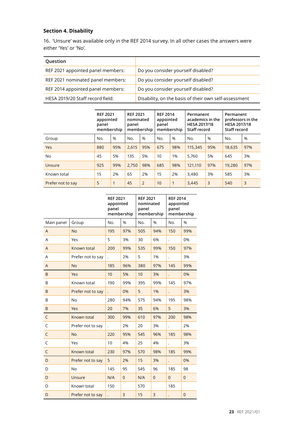#### **Section 4. Disability**

16. 'Unsure' was available only in the REF 2014 survey. In all other cases the answers were either 'Yes' or 'No'.

| Question                          |                                                       |
|-----------------------------------|-------------------------------------------------------|
| REF 2021 appointed panel members: | Do you consider yourself disabled?                    |
| REF 2021 nominated panel members: | Do you consider yourself disabled?                    |
| REF 2014 appointed panel members: | Do you consider yourself disabled?                    |
| HESA 2019/20 Staff record field:  | Disability, on the basis of their own self-assessment |

|                   | <b>REF 2021</b><br>appointed<br>panel<br>membership |               | <b>REF 2021</b><br>nominated<br>panel | membership     | <b>REF 2014</b><br>appointed<br>panel | membership | Permanent<br>academics in the<br><b>HESA 2017/18</b><br>Staff record |     | Permanent<br>professors in the<br><b>HESA 2017/18</b><br>Staff record |      |
|-------------------|-----------------------------------------------------|---------------|---------------------------------------|----------------|---------------------------------------|------------|----------------------------------------------------------------------|-----|-----------------------------------------------------------------------|------|
| Group             | No.                                                 | $\frac{0}{0}$ | No.                                   | %              | No.                                   | %          | No.                                                                  | %   | No.                                                                   | $\%$ |
| <b>Yes</b>        | 880                                                 | 95%           | 2.615                                 | 95%            | 675                                   | 98%        | 115,345                                                              | 95% | 18,635                                                                | 97%  |
| No                | 45                                                  | 5%            | 135                                   | 5%             | 10                                    | 1%         | 5.760                                                                | 5%  | 645                                                                   | 3%   |
| Unsure            | 925                                                 | 99%           | 2,750                                 | 98%            | 685                                   | 98%        | 121,110                                                              | 97% | 19,280                                                                | 97%  |
| Known total       | 15                                                  | 2%            | 65                                    | 2%             | 15                                    | 2%         | 3,480                                                                | 3%  | 585                                                                   | 3%   |
| Prefer not to say | 5                                                   | 1             | 45                                    | $\overline{2}$ | 10                                    | 1          | 3,445                                                                | 3   | 540                                                                   | 3    |

 $\overline{\phantom{a}}$ 

|                |                   | <b>REF 2021</b><br>appointed<br>panel<br>membership |                | <b>REF 2021</b><br>nominated<br>panel<br>membership |                | <b>REF 2014</b><br>appointed<br>panel<br>membership |                |
|----------------|-------------------|-----------------------------------------------------|----------------|-----------------------------------------------------|----------------|-----------------------------------------------------|----------------|
| Main panel     | Group             | No.                                                 | %              | No.                                                 | %              | No.                                                 | %              |
| $\overline{A}$ | <b>No</b>         | 195                                                 | 97%            | 505                                                 | 94%            | 150                                                 | 99%            |
| A              | Yes               | 5                                                   | 3%             | 30                                                  | 6%             | $\ddot{\phantom{0}}$                                | 0%             |
| A              | Known total       | 200                                                 | 99%            | 535                                                 | 99%            | 150                                                 | 97%            |
| A              | Prefer not to say |                                                     | 2%             | 5                                                   | 1%             |                                                     | 3%             |
| $\overline{A}$ | <b>No</b>         | 185                                                 | 96%            | 380                                                 | 97%            | 145                                                 | 99%            |
| B              | Yes               | 10                                                  | 5%             | 10                                                  | 3%             |                                                     | 0%             |
| B              | Known total       | 190                                                 | 99%            | 395                                                 | 99%            | 145                                                 | 97%            |
| B              | Prefer not to say |                                                     | 0%             | 5                                                   | 1%             |                                                     | 3%             |
| B              | N <sub>o</sub>    | 280                                                 | 94%            | 575                                                 | 94%            | 195                                                 | 98%            |
| B              | Yes               | 20                                                  | 7%             | 35                                                  | 6%             | 5                                                   | 3%             |
| $\mathsf C$    | Known total       | 300                                                 | 99%            | 610                                                 | 97%            | 200                                                 | 98%            |
| C              | Prefer not to say | $\ddot{\phantom{0}}$                                | 2%             | 20                                                  | 3%             | $\ddot{\phantom{0}}$                                | 2%             |
| C              | <b>No</b>         | 220                                                 | 95%            | 545                                                 | 96%            | 185                                                 | 98%            |
| C              | Yes               | 10                                                  | 4%             | 25                                                  | 4%             | $\ddot{\phantom{0}}$                                | 3%             |
| C              | Known total       | 230                                                 | 97%            | 570                                                 | 98%            | 185                                                 | 99%            |
| D              | Prefer not to say | 5                                                   | 2%             | 15                                                  | 3%             |                                                     | 0%             |
| D              | <b>No</b>         | 145                                                 | 95             | 545                                                 | 96             | 185                                                 | 98             |
| D              | Unsure            | N/A                                                 | $\mathbf{0}$   | N/A                                                 | $\overline{0}$ | $\overline{0}$                                      | $\overline{0}$ |
| D              | Known total       | 150                                                 |                | 570                                                 |                | 185                                                 |                |
| D              | Prefer not to say |                                                     | $\overline{3}$ | 15                                                  | $\overline{3}$ |                                                     | $\pmb{0}$      |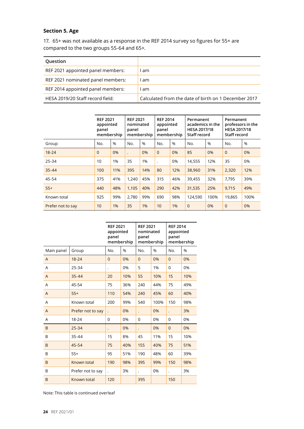#### **Section 5. Age**

17. 65+ was not available as a response in the REF 2014 survey so figures for 55+ are compared to the two groups 55-64 and 65+.

| Question                          |                                                      |
|-----------------------------------|------------------------------------------------------|
| REF 2021 appointed panel members: | l am                                                 |
| REF 2021 nominated panel members: | am                                                   |
| REF 2014 appointed panel members: | am                                                   |
| HESA 2019/20 Staff record field:  | Calculated from the date of birth on 1 December 2017 |

|                   | <b>REF 2021</b><br>appointed<br>panel<br>membership |               | <b>REF 2021</b><br>nominated<br>panel | membership | <b>REF 2014</b><br>appointed<br>panel | membership | Permanent<br>academics in the<br><b>HESA 2017/18</b><br>Staff record |      | Permanent<br>professors in the<br><b>HESA 2017/18</b><br>Staff record |      |
|-------------------|-----------------------------------------------------|---------------|---------------------------------------|------------|---------------------------------------|------------|----------------------------------------------------------------------|------|-----------------------------------------------------------------------|------|
| Group             | No.                                                 | $\frac{0}{0}$ | No.                                   | $\%$       | No.                                   | %          | No.                                                                  | %    | No.                                                                   | $\%$ |
| $18 - 24$         | $\Omega$                                            | 0%            |                                       | 0%         | $\Omega$                              | 0%         | 85                                                                   | 0%   | $\Omega$                                                              | 0%   |
| $25 - 34$         | 10                                                  | 1%            | 35                                    | 1%         |                                       | 0%         | 14,555                                                               | 12%  | 35                                                                    | 0%   |
| $35 - 44$         | 100                                                 | 11%           | 395                                   | 14%        | 80                                    | 12%        | 38,960                                                               | 31%  | 2,320                                                                 | 12%  |
| 45-54             | 375                                                 | 41%           | 1,240                                 | 45%        | 315                                   | 46%        | 39,455                                                               | 32%  | 7,795                                                                 | 39%  |
| $55+$             | 440                                                 | 48%           | 1,105                                 | 40%        | 290                                   | 42%        | 31,535                                                               | 25%  | 9,715                                                                 | 49%  |
| Known total       | 925                                                 | 99%           | 2,780                                 | 99%        | 690                                   | 98%        | 124,590                                                              | 100% | 19,865                                                                | 100% |
| Prefer not to say | 10                                                  | 1%            | 35                                    | 1%         | 10                                    | 1%         | $\mathbf{0}$                                                         | 0%   | $\overline{0}$                                                        | 0%   |

|                |                   | <b>REF 2021</b><br>appointed<br>panel | membership | <b>REF 2021</b><br>nominated<br>panel<br>membership |      | <b>REF 2014</b><br>appointed<br>panel<br>membership |     |
|----------------|-------------------|---------------------------------------|------------|-----------------------------------------------------|------|-----------------------------------------------------|-----|
| Main panel     | Group             | No.                                   | %          | No.                                                 | %    | No.                                                 | %   |
| A              | $18 - 24$         | $\overline{0}$                        | 0%         | $\overline{0}$                                      | 0%   | $\overline{0}$                                      | 0%  |
| A              | 25-34             |                                       | 0%         | 5                                                   | 1%   | 0                                                   | 0%  |
| $\overline{A}$ | $35 - 44$         | 20                                    | 10%        | 55                                                  | 10%  | 15                                                  | 10% |
| A              | 45-54             | 75                                    | 36%        | 240                                                 | 44%  | 75                                                  | 49% |
| $\mathsf{A}$   | $55+$             | 110                                   | 54%        | 240                                                 | 45%  | 60                                                  | 40% |
| A              | Known total       | 200                                   | 99%        | 540                                                 | 100% | 150                                                 | 98% |
| $\overline{A}$ | Prefer not to say | $\ddot{\phantom{0}}$                  | 0%         | $\ddot{\phantom{0}}$                                | 0%   |                                                     | 3%  |
| A              | 18-24             | $\mathbf 0$                           | 0%         | 0                                                   | 0%   | 0                                                   | 0%  |
| B              | $25 - 34$         | $\ddot{\phantom{0}}$                  | 0%         | $\ddot{\phantom{0}}$                                | 0%   | $\overline{0}$                                      | 0%  |
| B              | 35-44             | 15                                    | 8%         | 45                                                  | 11%  | 15                                                  | 10% |
| B              | 45-54             | 75                                    | 40%        | 155                                                 | 40%  | 75                                                  | 51% |
| B              | $55+$             | 95                                    | 51%        | 190                                                 | 48%  | 60                                                  | 39% |
| B              | Known total       | 190                                   | 98%        | 395                                                 | 99%  | 150                                                 | 98% |
| B              | Prefer not to say | $\ddot{\phantom{0}}$                  | 3%         | $\ddot{\phantom{0}}$                                | 0%   |                                                     | 3%  |
| B              | Known total       | 120                                   |            | 395                                                 |      | 150                                                 |     |

Note: This table is continued overleaf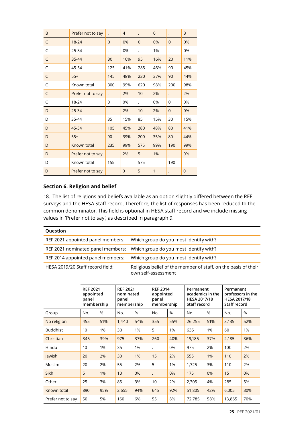| B            | Prefer not to say |                      | $\overline{4}$ | $\ddot{\phantom{0}}$ | $\mathbf{0}$ | $\ddot{\phantom{0}}$ | 3              |
|--------------|-------------------|----------------------|----------------|----------------------|--------------|----------------------|----------------|
| C            | $18 - 24$         | $\overline{0}$       | 0%             | $\overline{0}$       | 0%           | $\mathbf{0}$         | 0%             |
| C            | 25-34             |                      | 0%             | $\ddot{\phantom{0}}$ | 1%           | $\ddot{\phantom{0}}$ | 0%             |
| C            | 35-44             | 30                   | 10%            | 95                   | 16%          | 20                   | 11%            |
| C            | 45-54             | 125                  | 41%            | 285                  | 46%          | 90                   | 45%            |
| $\mathsf{C}$ | $55+$             | 145                  | 48%            | 230                  | 37%          | 90                   | 44%            |
| C            | Known total       | 300                  | 99%            | 620                  | 98%          | 200                  | 98%            |
| C            | Prefer not to say |                      | 2%             | 10                   | 2%           | $\bullet$            | 2%             |
| C            | 18-24             | 0                    | 0%             |                      | 0%           | 0                    | 0%             |
| D            | $25 - 34$         | $\ddot{\phantom{0}}$ | 2%             | 10                   | 2%           | $\overline{0}$       | 0%             |
| D            | 35-44             | 35                   | 15%            | 85                   | 15%          | 30                   | 15%            |
| D            | 45-54             | 105                  | 45%            | 280                  | 48%          | 80                   | 41%            |
| D            | $55+$             | 90                   | 39%            | 200                  | 35%          | 80                   | 44%            |
| D            | Known total       | 235                  | 99%            | 575                  | 99%          | 190                  | 99%            |
| D            | Prefer not to say | $\ddot{\phantom{0}}$ | 2%             | 5                    | 1%           | $\ddot{\phantom{0}}$ | 0%             |
| D            | Known total       | 155                  |                | 575                  |              | 190                  |                |
| D            | Prefer not to say |                      | $\overline{0}$ | 5                    | $\mathbf{1}$ |                      | $\overline{0}$ |

#### **Section 6. Religion and belief**

18. The list of religions and beliefs available as an option slightly differed between the REF surveys and the HESA Staff record. Therefore, the list of responses has been reduced to the common denominator. This field is optional in HESA staff record and we include missing values in 'Prefer not to say', as described in paragraph 9.

| Question                          |                                                                                       |
|-----------------------------------|---------------------------------------------------------------------------------------|
| REF 2021 appointed panel members: | Which group do you most identify with?                                                |
| REF 2021 nominated panel members: | Which group do you most identify with?                                                |
| REF 2014 appointed panel members: | Which group do you most identify with?                                                |
| HESA 2019/20 Staff record field:  | Religious belief of the member of staff, on the basis of their<br>own self-assessment |

|                   | <b>REF 2021</b><br>appointed<br>panel<br>membership |     | <b>REF 2021</b><br>nominated<br>panel<br>membership |     | <b>REF 2014</b><br>appointed<br>panel<br>membership |     | Permanent<br>academics in the<br><b>HESA 2017/18</b><br>Staff record |      | Permanent<br>professors in the<br><b>HESA 2017/18</b><br>Staff record |      |
|-------------------|-----------------------------------------------------|-----|-----------------------------------------------------|-----|-----------------------------------------------------|-----|----------------------------------------------------------------------|------|-----------------------------------------------------------------------|------|
| Group             | No.                                                 | %   | No.                                                 | %   | No.                                                 | %   | No.                                                                  | $\%$ | No.                                                                   | $\%$ |
| No religion       | 455                                                 | 51% | 1,440                                               | 54% | 355                                                 | 55% | 26,255                                                               | 51%  | 3,135                                                                 | 52%  |
| <b>Buddhist</b>   | 10                                                  | 1%  | 30                                                  | 1%  | 5                                                   | 1%  | 635                                                                  | 1%   | 60                                                                    | 1%   |
| Christian         | 345                                                 | 39% | 975                                                 | 37% | 260                                                 | 40% | 19,185                                                               | 37%  | 2,185                                                                 | 36%  |
| Hindu             | 10                                                  | 1%  | 35                                                  | 1%  | $\ddot{\phantom{0}}$                                | 0%  | 975                                                                  | 2%   | 100                                                                   | 2%   |
| lewish            | 20                                                  | 2%  | 30                                                  | 1%  | 15                                                  | 2%  | 555                                                                  | 1%   | 110                                                                   | 2%   |
| Muslim            | 20                                                  | 2%  | 55                                                  | 2%  | 5                                                   | 1%  | 1,725                                                                | 3%   | 110                                                                   | 2%   |
| <b>Sikh</b>       | 5                                                   | 1%  | 10                                                  | 0%  | $\ddot{\phantom{0}}$                                | 0%  | 175                                                                  | 0%   | 15                                                                    | 0%   |
| Other             | 25                                                  | 3%  | 85                                                  | 3%  | 10                                                  | 2%  | 2,305                                                                | 4%   | 285                                                                   | 5%   |
| Known total       | 890                                                 | 95% | 2,655                                               | 94% | 645                                                 | 92% | 51,805                                                               | 42%  | 6,005                                                                 | 30%  |
| Prefer not to say | 50                                                  | 5%  | 160                                                 | 6%  | 55                                                  | 8%  | 72,785                                                               | 58%  | 13,865                                                                | 70%  |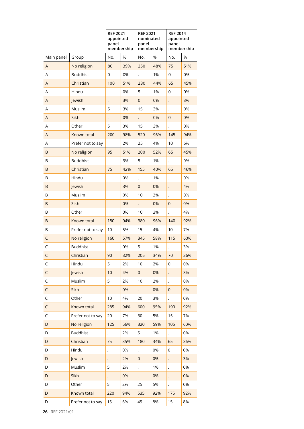|                |                   | panel                | <b>REF 2021</b><br><b>REF 2021</b><br>appointed<br>panel<br>membership |                      | nominated<br>membership | <b>REF 2014</b><br>appointed<br>panel<br>membership |     |
|----------------|-------------------|----------------------|------------------------------------------------------------------------|----------------------|-------------------------|-----------------------------------------------------|-----|
| Main panel     | Group             | No.                  | %                                                                      | No.                  | %                       | No.                                                 | %   |
| A              | No religion       | 80                   | 39%                                                                    | 250                  | 48%                     | 75                                                  | 51% |
| Α              | <b>Buddhist</b>   | 0                    | 0%                                                                     |                      | 1%                      | 0                                                   | 0%  |
| A              | Christian         | 100                  | 51%                                                                    | 230                  | 44%                     | 65                                                  | 45% |
| Α              | Hindu             |                      | 0%                                                                     | 5                    | 1%                      | 0                                                   | 0%  |
| A              | Jewish            | $\ddot{\phantom{0}}$ | 3%                                                                     | $\overline{0}$       | 0%                      | $\ddot{\phantom{0}}$                                | 3%  |
| Α              | Muslim            | 5                    | 3%                                                                     | 15                   | 3%                      | $\ddot{\phantom{0}}$                                | 0%  |
| A              | Sikh              |                      | 0%                                                                     |                      | 0%                      | $\mathbf 0$                                         | 0%  |
| Α              | Other             | 5                    | 3%                                                                     | 15                   | 3%                      |                                                     | 0%  |
| $\overline{A}$ | Known total       | 200                  | 98%                                                                    | 520                  | 96%                     | 145                                                 | 94% |
| A              | Prefer not to say | $\ddot{\phantom{0}}$ | 2%                                                                     | 25                   | 4%                      | 10                                                  | 6%  |
| B              | No religion       | 95                   | 51%                                                                    | 200                  | 52%                     | 65                                                  | 45% |
| B              | <b>Buddhist</b>   |                      | 3%                                                                     | 5                    | 1%                      |                                                     | 0%  |
| B              | Christian         | 75                   | 42%                                                                    | 155                  | 40%                     | 65                                                  | 46% |
| B              | Hindu             |                      | 0%                                                                     | $\ddot{\phantom{0}}$ | 1%                      | $\ddot{\phantom{0}}$                                | 0%  |
| B              | Jewish            |                      | 3%                                                                     | $\mathbf 0$          | 0%                      | $\ddot{\phantom{0}}$                                | 4%  |
| В              | Muslim            | $\ddot{\phantom{0}}$ | 0%                                                                     | 10                   | 3%                      | $\ddot{\phantom{0}}$                                | 0%  |
| B              | Sikh              | $\ddot{\phantom{0}}$ | 0%                                                                     | $\ddot{\phantom{0}}$ | 0%                      | $\mathbf 0$                                         | 0%  |
| В              | Other             |                      | 0%                                                                     | 10                   | 3%                      |                                                     | 4%  |
| B              | Known total       | 180                  | 94%                                                                    | 380                  | 96%                     | 140                                                 | 92% |
| B              | Prefer not to say | 10                   | 5%                                                                     | 15                   | 4%                      | 10                                                  | 7%  |
| C              | No religion       | 160                  | 57%                                                                    | 345                  | 58%                     | 115                                                 | 60% |
| $\mathsf C$    | <b>Buddhist</b>   |                      | 0%                                                                     | 5                    | 1%                      | $\ddot{\phantom{0}}$                                | 3%  |
| $\mathsf C$    | Christian         | 90                   | 32%                                                                    | 205                  | 34%                     | 70                                                  | 36% |
| $\mathsf C$    | Hindu             | 5                    | 2%                                                                     | 10                   | 2%                      | 0                                                   | 0%  |
| $\mathsf C$    | Jewish            | 10                   | 4%                                                                     | $\mathsf{O}\xspace$  | 0%                      | $\ddot{\phantom{0}}$                                | 3%  |
| $\mathsf C$    | Muslim            | 5                    | 2%                                                                     | 10                   | 2%                      | $\ddot{\phantom{0}}$                                | 0%  |
| $\mathsf C$    | Sikh              | $\ddot{\phantom{0}}$ | 0%                                                                     | $\ddot{\phantom{0}}$ | 0%                      | $\mathbf{0}$                                        | 0%  |
| $\mathsf C$    | Other             | 10                   | 4%                                                                     | 20                   | 3%                      | $\ddot{\phantom{0}}$                                | 0%  |
| $\mathsf C$    | Known total       | 285                  | 94%                                                                    | 600                  | 95%                     | 190                                                 | 92% |
| $\mathsf C$    | Prefer not to say | 20                   | 7%                                                                     | 30                   | 5%                      | 15                                                  | 7%  |
| $\mathsf D$    | No religion       | 125                  | 56%                                                                    | 320                  | 59%                     | 105                                                 | 60% |
| D              | <b>Buddhist</b>   |                      | 2%                                                                     | 5                    | 1%                      | $\ddot{\phantom{0}}$                                | 0%  |
| D              | Christian         | 75                   | 35%                                                                    | 180                  | 34%                     | 65                                                  | 36% |
| D              | Hindu             |                      | 0%                                                                     | $\ddot{\phantom{0}}$ | 0%                      | 0                                                   | 0%  |
| D              | Jewish            |                      | 2%                                                                     | 0                    | 0%                      |                                                     | 3%  |
| D              | Muslim            | 5                    | 2%                                                                     | $\ddot{\phantom{0}}$ | 1%                      | $\ddot{\phantom{0}}$                                | 0%  |
| $\mathsf D$    | Sikh              |                      | 0%                                                                     | $\ddot{\phantom{0}}$ | 0%                      |                                                     | 0%  |
| D              | Other             | 5                    | 2%                                                                     | 25                   | 5%                      | $\ddot{\phantom{0}}$                                | 0%  |
| D              | Known total       | 220                  | 94%                                                                    | 535                  | 92%                     | 175                                                 | 92% |
| D              | Prefer not to say | 15                   | 6%                                                                     | 45                   | 8%                      | 15                                                  | 8%  |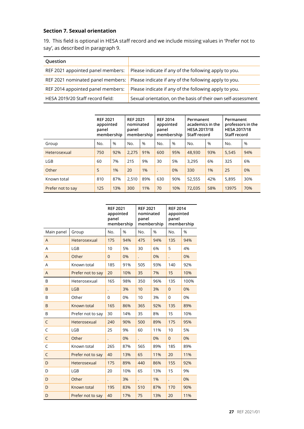#### **Section 7. Sexual orientation**

19. This field is optional in HESA staff record and we include missing values in 'Prefer not to say', as described in paragraph 9.

| Question                          |                                                                                         |
|-----------------------------------|-----------------------------------------------------------------------------------------|
| REF 2021 appointed panel members: | Please indicate if any of the following apply to you.                                   |
|                                   | REF 2021 nominated panel members: Please indicate if any of the following apply to you. |
| REF 2014 appointed panel members: | Please indicate if any of the following apply to you.                                   |
| HESA 2019/20 Staff record field:  | Sexual orientation, on the basis of their own self-assessment                           |

|                   | <b>REF 2021</b><br>appointed<br>panel<br>membership |     | <b>REF 2021</b><br>nominated<br>panel<br>membership |      | <b>REF 2014</b><br>appointed<br>panel<br>membership |     | Permanent<br>academics in the<br><b>HESA 2017/18</b><br>Staff record |               | Permanent<br>professors in the<br><b>HESA 2017/18</b><br>Staff record |      |
|-------------------|-----------------------------------------------------|-----|-----------------------------------------------------|------|-----------------------------------------------------|-----|----------------------------------------------------------------------|---------------|-----------------------------------------------------------------------|------|
| Group             | No.                                                 | %   | No.                                                 | $\%$ | No.                                                 | %   | No.                                                                  | $\frac{0}{0}$ | No.                                                                   | $\%$ |
| Heterosexual      | 750                                                 | 92% | 2.275                                               | 91%  | 600                                                 | 95% | 48,930                                                               | 93%           | 5,545                                                                 | 94%  |
| <b>LGB</b>        | 60                                                  | 7%  | 215                                                 | 9%   | 30                                                  | 5%  | 3.295                                                                | 6%            | 325                                                                   | 6%   |
| Other             | 5                                                   | 1%  | 20                                                  | 1%   |                                                     | 0%  | 330                                                                  | 1%            | 25                                                                    | 0%   |
| Known total       | 810                                                 | 87% | 2.510                                               | 89%  | 630                                                 | 90% | 52,555                                                               | 42%           | 5.895                                                                 | 30%  |
| Prefer not to say | 125                                                 | 13% | 300                                                 | 11%  | 70                                                  | 10% | 72,035                                                               | 58%           | 13975                                                                 | 70%  |

|                |                   | <b>REF 2021</b><br>appointed<br>panel<br>membership |     | <b>REF 2021</b><br>nominated<br>panel<br>membership |     | <b>REF 2014</b><br>appointed<br>panel | membership |  |
|----------------|-------------------|-----------------------------------------------------|-----|-----------------------------------------------------|-----|---------------------------------------|------------|--|
| Main panel     | Group             | No.                                                 | %   | No.                                                 | %   | No.                                   | %          |  |
| $\overline{A}$ | Heterosexual      | 175                                                 | 94% | 475                                                 | 94% | 135                                   | 94%        |  |
| A              | <b>LGB</b>        | 10                                                  | 5%  | 30                                                  | 6%  | 5                                     | 4%         |  |
| A              | Other             | $\overline{0}$                                      | 0%  |                                                     | 0%  |                                       | 0%         |  |
| A              | Known total       | 185                                                 | 91% | 505                                                 | 93% | 140                                   | 92%        |  |
| $\overline{A}$ | Prefer not to say | 20                                                  | 10% | 35                                                  | 7%  | 15                                    | 10%        |  |
| B              | Heterosexual      | 165                                                 | 98% | 350                                                 | 96% | 135                                   | 100%       |  |
| B              | <b>LGB</b>        | $\ddot{\phantom{0}}$                                | 3%  | 10                                                  | 3%  | $\overline{0}$                        | 0%         |  |
| B              | Other             | $\Omega$                                            | 0%  | 10                                                  | 3%  | $\Omega$                              | 0%         |  |
| B              | Known total       | 165                                                 | 86% | 365                                                 | 92% | 135                                   | 89%        |  |
| B              | Prefer not to say | 30                                                  | 14% | 35                                                  | 8%  | 15                                    | 10%        |  |
| C              | Heterosexual      | 240                                                 | 90% | 500                                                 | 89% | 175                                   | 95%        |  |
| $\mathsf C$    | <b>LGB</b>        | 25                                                  | 9%  | 60                                                  | 11% | 10                                    | 5%         |  |
| $\mathsf C$    | Other             |                                                     | 0%  |                                                     | 0%  | $\overline{0}$                        | 0%         |  |
| C              | Known total       | 265                                                 | 87% | 565                                                 | 89% | 185                                   | 89%        |  |
| $\mathsf{C}$   | Prefer not to say | 40                                                  | 13% | 65                                                  | 11% | 20                                    | 11%        |  |
| D              | Heterosexual      | 175                                                 | 89% | 440                                                 | 86% | 155                                   | 92%        |  |
| D              | <b>LGB</b>        | 20                                                  | 10% | 65                                                  | 13% | 15                                    | 9%         |  |
| D              | Other             | $\ddot{\phantom{0}}$                                | 3%  | $\ddot{\phantom{0}}$                                | 1%  | $\ddot{\phantom{0}}$                  | 0%         |  |
| D              | Known total       | 195                                                 | 83% | 510                                                 | 87% | 170                                   | 90%        |  |
| D              | Prefer not to say | 40                                                  | 17% | 75                                                  | 13% | 20                                    | 11%        |  |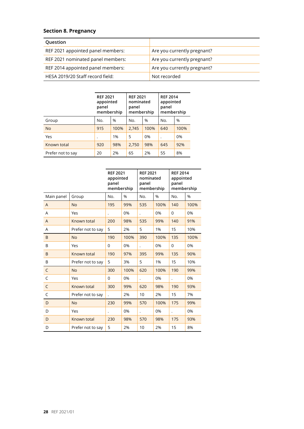#### **Section 8. Pregnancy**

| Question                          |                             |
|-----------------------------------|-----------------------------|
| REF 2021 appointed panel members: | Are you currently pregnant? |
| REF 2021 nominated panel members: | Are you currently pregnant? |
| REF 2014 appointed panel members: | Are you currently pregnant? |
| HESA 2019/20 Staff record field:  | Not recorded                |

|                   | <b>REF 2021</b><br>appointed<br>panel<br>membership |      | <b>REF 2021</b><br>nominated<br>panel<br>membership |      | <b>REF 2014</b><br>appointed<br>panel<br>membership |      |
|-------------------|-----------------------------------------------------|------|-----------------------------------------------------|------|-----------------------------------------------------|------|
| Group             | No.                                                 | %    | No.                                                 | $\%$ | No.                                                 | $\%$ |
| <b>No</b>         | 915                                                 | 100% | 2,745                                               | 100% | 640                                                 | 100% |
| Yes               | ٠                                                   | 1%   | 5                                                   | 0%   |                                                     | 0%   |
| Known total       | 920                                                 | 98%  | 2,750                                               | 98%  | 645                                                 | 92%  |
| Prefer not to say | 20                                                  | 2%   | 65                                                  | 2%   | 55                                                  | 8%   |

|              |                   | <b>REF 2021</b><br>appointed<br>panel<br>membership |      | <b>REF 2021</b><br>nominated<br>panel<br>membership |      | <b>REF 2014</b><br>appointed<br>panel<br>membership |      |
|--------------|-------------------|-----------------------------------------------------|------|-----------------------------------------------------|------|-----------------------------------------------------|------|
| Main panel   | Group             | No.                                                 | %    | No.                                                 | %    | No.                                                 | %    |
| A            | <b>No</b>         | 195                                                 | 99%  | 535                                                 | 100% | 140                                                 | 100% |
| A            | Yes               |                                                     | 0%   | $\ddot{\phantom{0}}$                                | 0%   | $\overline{0}$                                      | 0%   |
| $\mathsf{A}$ | Known total       | 200                                                 | 98%  | 535                                                 | 99%  | 140                                                 | 91%  |
| A            | Prefer not to say | 5                                                   | 2%   | 5                                                   | 1%   | 15                                                  | 10%  |
| B            | <b>No</b>         | 190                                                 | 100% | 390                                                 | 100% | 135                                                 | 100% |
| B            | Yes               | $\Omega$                                            | 0%   | $\ddot{\phantom{0}}$                                | 0%   | $\Omega$                                            | 0%   |
| B            | Known total       | 190                                                 | 97%  | 395                                                 | 99%  | 135                                                 | 90%  |
| B            | Prefer not to say | 5                                                   | 3%   | 5                                                   | 1%   | 15                                                  | 10%  |
| C            | <b>No</b>         | 300                                                 | 100% | 620                                                 | 100% | 190                                                 | 99%  |
| C            | Yes               | $\Omega$                                            | 0%   | $\ddot{\phantom{0}}$                                | 0%   | $\ddot{\phantom{0}}$                                | 0%   |
| C            | Known total       | 300                                                 | 99%  | 620                                                 | 98%  | 190                                                 | 93%  |
| C            | Prefer not to say |                                                     | 2%   | 10                                                  | 2%   | 15                                                  | 7%   |
| D            | <b>No</b>         | 230                                                 | 99%  | 570                                                 | 100% | 175                                                 | 99%  |
| D            | Yes               | $\ddot{\phantom{0}}$                                | 0%   | $\ddot{\phantom{0}}$                                | 0%   | $\ddot{\phantom{0}}$                                | 0%   |
| D            | Known total       | 230                                                 | 98%  | 570                                                 | 98%  | 175                                                 | 93%  |
| D            | Prefer not to say | 5                                                   | 2%   | 10                                                  | 2%   | 15                                                  | 8%   |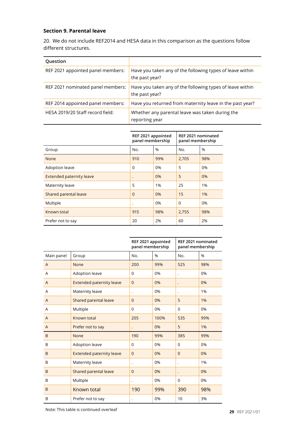#### **Section 9. Parental leave**

20. We do not include REF2014 and HESA data in this comparison as the questions follow different structures.

| Question                          |                                                                             |
|-----------------------------------|-----------------------------------------------------------------------------|
| REF 2021 appointed panel members: | Have you taken any of the following types of leave within<br>the past year? |
| REF 2021 nominated panel members: | Have you taken any of the following types of leave within<br>the past year? |
| REF 2014 appointed panel members: | Have you returned from maternity leave in the past year?                    |
| HESA 2019/20 Staff record field:  | Whether any parental leave was taken during the<br>reporting year           |
|                                   |                                                                             |

|                          | REF 2021 appointed<br>panel membership |     | REF 2021 nominated<br>panel membership |     |  |
|--------------------------|----------------------------------------|-----|----------------------------------------|-----|--|
| Group                    | No.                                    | %   | No.                                    | %   |  |
| None                     | 910                                    | 99% | 2,705                                  | 98% |  |
| <b>Adoption leave</b>    | $\Omega$                               | 0%  | 5                                      | 0%  |  |
| Extended paternity leave | $\bullet$                              | 0%  | 5                                      | 0%  |  |
| Maternity leave          | 5                                      | 1%  | 25                                     | 1%  |  |
| Shared parental leave    | $\Omega$                               | 0%  | 15                                     | 1%  |  |
| Multiple                 | $\cdot$                                | 0%  | $\Omega$                               | 0%  |  |
| Known total              | 915                                    | 98% | 2,755                                  | 98% |  |
| Prefer not to say        | 20                                     | 2%  | 60                                     | 2%  |  |

|            |                                 | REF 2021 appointed<br>panel membership |      | REF 2021 nominated<br>panel membership |     |  |
|------------|---------------------------------|----------------------------------------|------|----------------------------------------|-----|--|
| Main panel | Group                           | No.                                    | %    | No.                                    | %   |  |
| A          | None                            | 200                                    | 99%  | 525                                    | 98% |  |
| A          | Adoption leave                  | $\overline{0}$                         | 0%   | $\cdot$                                | 0%  |  |
| A          | <b>Extended paternity leave</b> | $\Omega$                               | 0%   |                                        | 0%  |  |
| A          | Maternity leave                 |                                        | 0%   |                                        | 1%  |  |
| A          | Shared parental leave           | $\overline{0}$                         | 0%   | 5                                      | 1%  |  |
| A          | Multiple                        | $\Omega$                               | 0%   | $\Omega$                               | 0%  |  |
| A          | Known total                     | 205                                    | 100% | 535                                    | 99% |  |
| A          | Prefer not to say               |                                        | 0%   | 5                                      | 1%  |  |
| B          | None                            | 190                                    | 99%  | 385                                    | 99% |  |
| B          | Adoption leave                  | 0                                      | 0%   | $\Omega$                               | 0%  |  |
| B          | <b>Extended paternity leave</b> | $\overline{0}$                         | 0%   | $\Omega$                               | 0%  |  |
| B          | Maternity leave                 | $\ddot{\phantom{0}}$                   | 0%   | $\ddot{\phantom{0}}$                   | 1%  |  |
| B          | Shared parental leave           | $\mathbf{0}$                           | 0%   |                                        | 0%  |  |
| B          | Multiple                        |                                        | 0%   | $\mathbf 0$                            | 0%  |  |
| B          | Known total                     | 190                                    | 99%  | 390                                    | 98% |  |
| B          | Prefer not to say               | $\ddot{\phantom{0}}$                   | 0%   | 10                                     | 3%  |  |

Note: This table is continued overleaf **29** REF 2021/01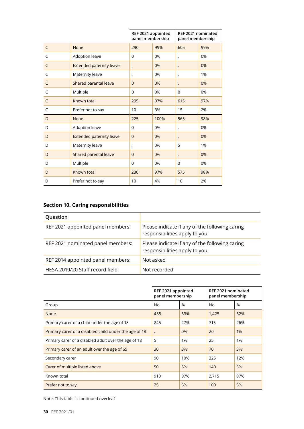|              |                                 | REF 2021 appointed<br>panel membership |      | REF 2021 nominated<br>panel membership |     |  |
|--------------|---------------------------------|----------------------------------------|------|----------------------------------------|-----|--|
| $\mathsf{C}$ | None                            | 290                                    | 99%  | 605                                    | 99% |  |
| C            | Adoption leave                  | 0                                      | 0%   | $\ddot{\phantom{0}}$                   | 0%  |  |
| C            | <b>Extended paternity leave</b> | $\ddot{\phantom{0}}$                   | 0%   | $\bullet$                              | 0%  |  |
| C            | Maternity leave                 | $\bullet$                              | 0%   | $\ddot{\phantom{0}}$                   | 1%  |  |
| C            | Shared parental leave           | $\overline{0}$                         | 0%   | $\ddot{\phantom{0}}$                   | 0%  |  |
| C            | Multiple                        | 0                                      | 0%   | $\Omega$                               | 0%  |  |
| C            | Known total                     | 295                                    | 97%  | 615                                    | 97% |  |
| C            | Prefer not to say               | 10                                     | 3%   | 15                                     | 2%  |  |
| D            | None                            | 225                                    | 100% | 565                                    | 98% |  |
| D            | Adoption leave                  | 0                                      | 0%   | $\ddot{\phantom{0}}$                   | 0%  |  |
| D            | <b>Extended paternity leave</b> | $\overline{0}$                         | 0%   | $\cdot$                                | 0%  |  |
| D            | Maternity leave                 | ٠                                      | 0%   | 5                                      | 1%  |  |
| D            | Shared parental leave           | $\overline{0}$                         | 0%   | $\bullet$                              | 0%  |  |
| D            | Multiple                        | $\Omega$                               | 0%   | $\Omega$                               | 0%  |  |
| D            | Known total                     | 230                                    | 97%  | 575                                    | 98% |  |
| D            | Prefer not to say               | 10                                     | 4%   | 10                                     | 2%  |  |

## **Section 10. Caring responsibilities**

| Question                          |                                                                                  |
|-----------------------------------|----------------------------------------------------------------------------------|
| REF 2021 appointed panel members: | Please indicate if any of the following caring<br>responsibilities apply to you. |
| REF 2021 nominated panel members: | Please indicate if any of the following caring<br>responsibilities apply to you. |
| REF 2014 appointed panel members: | Not asked                                                                        |
| HESA 2019/20 Staff record field:  | Not recorded                                                                     |

|                                                       | REF 2021 appointed<br>panel membership |               | REF 2021 nominated<br>panel membership |      |  |
|-------------------------------------------------------|----------------------------------------|---------------|----------------------------------------|------|--|
| Group                                                 | No.                                    | $\frac{0}{0}$ | No.                                    | $\%$ |  |
| None                                                  | 485                                    | 53%           | 1,425                                  | 52%  |  |
| Primary carer of a child under the age of 18          | 245                                    | 27%           | 715                                    | 26%  |  |
| Primary carer of a disabled child under the age of 18 |                                        | 0%            | 20                                     | 1%   |  |
| Primary carer of a disabled adult over the age of 18  | 5                                      | 1%            | 25                                     | 1%   |  |
| Primary carer of an adult over the age of 65          | 30                                     | 3%            | 70                                     | 3%   |  |
| Secondary carer                                       | 90                                     | 10%           | 325                                    | 12%  |  |
| Carer of multiple listed above                        | 50                                     | 5%            | 140                                    | 5%   |  |
| Known total                                           | 910                                    | 97%           | 2,715                                  | 97%  |  |
| Prefer not to say                                     | 25                                     | 3%            | 100                                    | 3%   |  |

Note: This table is continued overleaf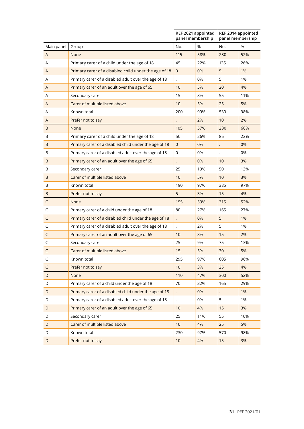|              |                                                       | REF 2021 appointed<br>panel membership |     | REF 2014 appointed<br>panel membership |     |  |
|--------------|-------------------------------------------------------|----------------------------------------|-----|----------------------------------------|-----|--|
| Main panel   | Group                                                 | No.                                    | %   | No.                                    | %   |  |
| A            | None                                                  | 115                                    | 58% | 280                                    | 52% |  |
| A            | Primary carer of a child under the age of 18          | 45                                     | 22% | 135                                    | 26% |  |
| A            | Primary carer of a disabled child under the age of 18 | $\mathbf{0}$                           | 0%  | 5                                      | 1%  |  |
| A            | Primary carer of a disabled adult over the age of 18  | $\ddot{\phantom{0}}$                   | 0%  | 5                                      | 1%  |  |
| A            | Primary carer of an adult over the age of 65          | 10                                     | 5%  | 20                                     | 4%  |  |
| A            | Secondary carer                                       | 15                                     | 8%  | 55                                     | 11% |  |
| A            | Carer of multiple listed above                        | 10                                     | 5%  | 25                                     | 5%  |  |
| A            | Known total                                           | 200                                    | 99% | 530                                    | 98% |  |
| A            | Prefer not to say                                     |                                        | 2%  | 10                                     | 2%  |  |
| B            | None                                                  | 105                                    | 57% | 230                                    | 60% |  |
| B            | Primary carer of a child under the age of 18          | 50                                     | 26% | 85                                     | 22% |  |
| B            | Primary carer of a disabled child under the age of 18 | $\mathbf 0$                            | 0%  |                                        | 0%  |  |
| B            | Primary carer of a disabled adult over the age of 18  | 0                                      | 0%  |                                        | 0%  |  |
| B            | Primary carer of an adult over the age of 65          |                                        | 0%  | 10                                     | 3%  |  |
| B            | Secondary carer                                       | 25                                     | 13% | 50                                     | 13% |  |
| B            | Carer of multiple listed above                        | 10                                     | 5%  | 10                                     | 3%  |  |
| B            | Known total                                           | 190                                    | 97% | 385                                    | 97% |  |
| B            | Prefer not to say                                     | 5                                      | 3%  | 15                                     | 4%  |  |
| C            | None                                                  | 155                                    | 53% | 315                                    | 52% |  |
| C            | Primary carer of a child under the age of 18          | 80                                     | 27% | 165                                    | 27% |  |
| C            | Primary carer of a disabled child under the age of 18 |                                        | 0%  | 5                                      | 1%  |  |
| C            | Primary carer of a disabled adult over the age of 18  | $\ddot{\phantom{0}}$                   | 2%  | 5                                      | 1%  |  |
| C            | Primary carer of an adult over the age of 65          | 10                                     | 3%  | 15                                     | 2%  |  |
| C            | Secondary carer                                       | 25                                     | 9%  | 75                                     | 13% |  |
| $\mathsf{C}$ | Carer of multiple listed above                        | 15                                     | 5%  | 30                                     | 5%  |  |
| Ć            | Known total                                           | 295                                    | 97% | 605                                    | 96% |  |
| $\mathsf{C}$ | Prefer not to say                                     | 10                                     | 3%  | 25                                     | 4%  |  |
| D            | None                                                  | 110                                    | 47% | 300                                    | 52% |  |
| D            | Primary carer of a child under the age of 18          | 70                                     | 32% | 165                                    | 29% |  |
| D            | Primary carer of a disabled child under the age of 18 |                                        | 0%  |                                        | 1%  |  |
| D            | Primary carer of a disabled adult over the age of 18  |                                        | 0%  | 5                                      | 1%  |  |
| D            | Primary carer of an adult over the age of 65          | 10                                     | 4%  | 15                                     | 3%  |  |
| D            | Secondary carer                                       | 25                                     | 11% | 55                                     | 10% |  |
| D            | Carer of multiple listed above                        | 10                                     | 4%  | 25                                     | 5%  |  |
| D            | Known total                                           | 230                                    | 97% | 570                                    | 98% |  |
| D            | Prefer not to say                                     | 10                                     | 4%  | 15                                     | 3%  |  |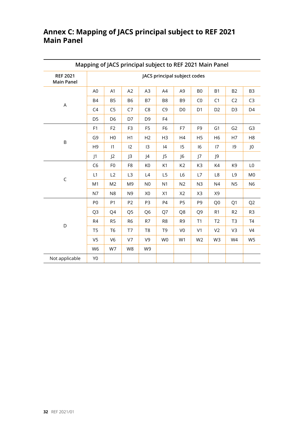## **Annex C: Mapping of JACS principal subject to REF 2021 Main Panel**

| Mapping of JACS principal subject to REF 2021 Main Panel |                              |                |                |                |                |                |                |                |                |                |
|----------------------------------------------------------|------------------------------|----------------|----------------|----------------|----------------|----------------|----------------|----------------|----------------|----------------|
| <b>REF 2021</b><br><b>Main Panel</b>                     | JACS principal subject codes |                |                |                |                |                |                |                |                |                |
|                                                          | A <sub>0</sub>               | A1             | A2             | A3             | A4             | A <sub>9</sub> | B <sub>0</sub> | <b>B1</b>      | <b>B2</b>      | B <sub>3</sub> |
|                                                          | <b>B4</b>                    | B <sub>5</sub> | <b>B6</b>      | B7             | B <sub>8</sub> | B <sub>9</sub> | CO             | C1             | C <sub>2</sub> | C <sub>3</sub> |
| A                                                        | C <sub>4</sub>               | C <sub>5</sub> | C7             | C <sub>8</sub> | C <sub>9</sub> | D <sub>0</sub> | D <sub>1</sub> | D <sub>2</sub> | D <sub>3</sub> | D <sub>4</sub> |
|                                                          | D <sub>5</sub>               | D <sub>6</sub> | D7             | D <sub>9</sub> | F <sub>4</sub> |                |                |                |                |                |
|                                                          | F1                           | F <sub>2</sub> | F <sub>3</sub> | F <sub>5</sub> | F <sub>6</sub> | F7             | F <sub>9</sub> | G <sub>1</sub> | G <sub>2</sub> | G <sub>3</sub> |
| $\sf B$                                                  | G <sub>9</sub>               | H <sub>0</sub> | H1             | H2             | H <sub>3</sub> | H4             | H <sub>5</sub> | H <sub>6</sub> | H7             | H <sub>8</sub> |
|                                                          | H <sub>9</sub>               | 1              | 12             | 13             | 4              | 15             | 16             | 17             | 9              | J <sub>0</sub> |
|                                                          | $\mathsf{J}1$                | J <sub>2</sub> | $\mathsf{J}3$  | $\vert 4$      | J <sub>5</sub> | J <sub>6</sub> | 7              | J9             |                |                |
|                                                          | C <sub>6</sub>               | F <sub>0</sub> | F <sub>8</sub> | K <sub>0</sub> | K1             | K <sub>2</sub> | K3             | K4             | K <sub>9</sub> | L <sub>0</sub> |
| $\mathsf{C}$                                             | L1                           | L2             | L <sub>3</sub> | L4             | L <sub>5</sub> | L <sub>6</sub> | L7             | L <sub>8</sub> | L <sub>9</sub> | M <sub>0</sub> |
|                                                          | M1                           | M <sub>2</sub> | M <sub>9</sub> | N <sub>0</sub> | N <sub>1</sub> | N2             | N <sub>3</sub> | N <sub>4</sub> | N <sub>5</sub> | N <sub>6</sub> |
|                                                          | N7                           | N <sub>8</sub> | N <sub>9</sub> | X <sub>0</sub> | X1             | X <sub>2</sub> | X3             | X9             |                |                |
|                                                          | P <sub>0</sub>               | P <sub>1</sub> | P <sub>2</sub> | P <sub>3</sub> | <b>P4</b>      | P <sub>5</sub> | P <sub>9</sub> | Q <sub>0</sub> | Q1             | Q <sub>2</sub> |
|                                                          | Q <sub>3</sub>               | Q4             | Q <sub>5</sub> | Q <sub>6</sub> | Q7             | Q8             | Q <sub>9</sub> | R <sub>1</sub> | R <sub>2</sub> | R <sub>3</sub> |
| D                                                        | R4                           | R <sub>5</sub> | R <sub>6</sub> | R7             | R <sub>8</sub> | R <sub>9</sub> | T1             | T <sub>2</sub> | T <sub>3</sub> | T <sub>4</sub> |
|                                                          | T <sub>5</sub>               | T <sub>6</sub> | T7             | T <sub>8</sub> | T <sub>9</sub> | V <sub>0</sub> | V <sub>1</sub> | V <sub>2</sub> | V3             | V <sub>4</sub> |
|                                                          | V <sub>5</sub>               | V <sub>6</sub> | V7             | V9             | W <sub>0</sub> | W1             | W <sub>2</sub> | W3             | W4             | W <sub>5</sub> |
|                                                          | W <sub>6</sub>               | W7             | W8             | W9             |                |                |                |                |                |                |
| Not applicable                                           | Y <sub>0</sub>               |                |                |                |                |                |                |                |                |                |